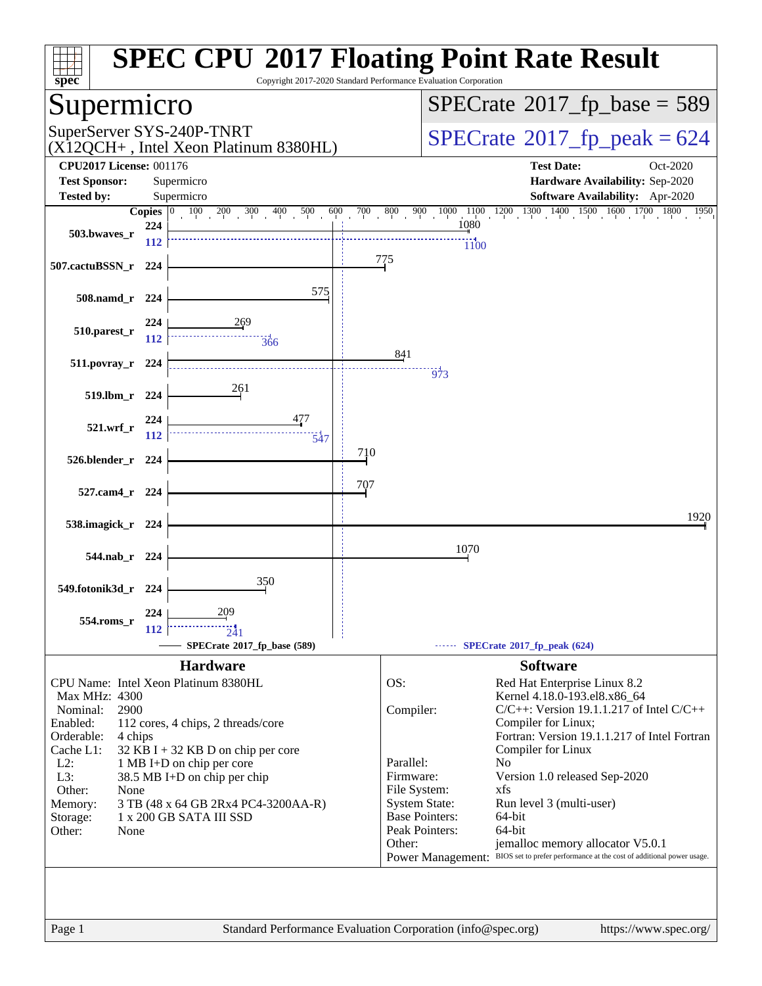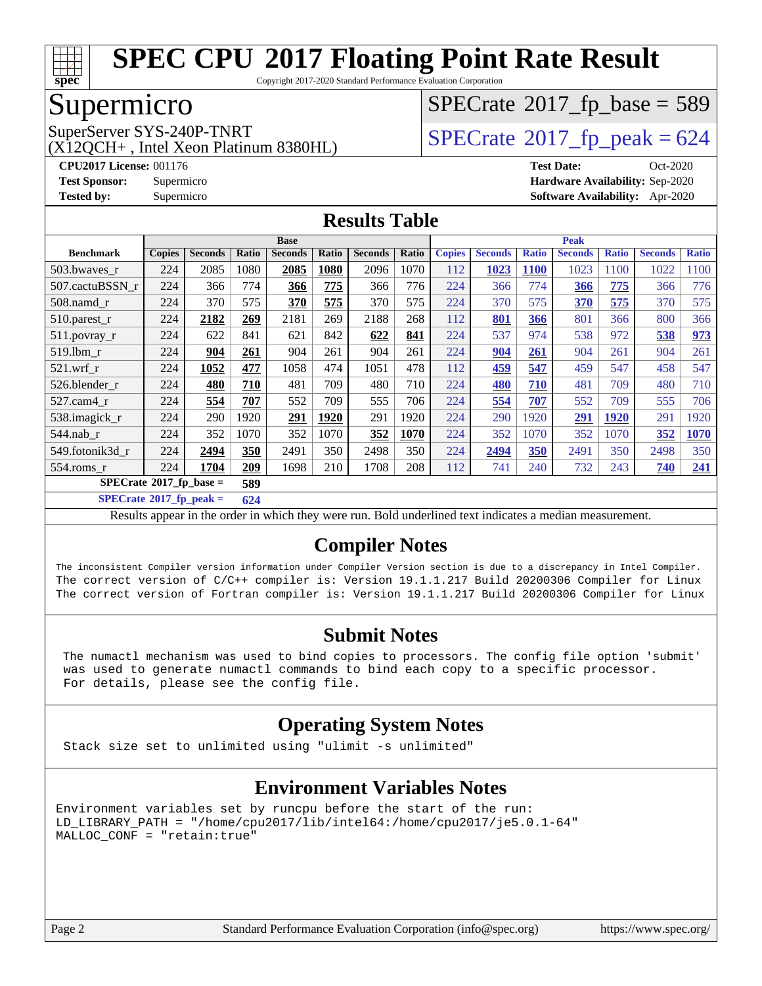

Copyright 2017-2020 Standard Performance Evaluation Corporation

## Supermicro

(X12QCH+ , Intel Xeon Platinum 8380HL)

 $SPECrate$ <sup>®</sup>[2017\\_fp\\_base =](http://www.spec.org/auto/cpu2017/Docs/result-fields.html#SPECrate2017fpbase) 589

SuperServer SYS-240P-TNRT  $\begin{array}{c|c}\n\text{SuperServer SYS-240P-TNRT} & \text{SPECrate} \n\hline\n\end{array}$  $\begin{array}{c|c}\n\text{SuperServer SYS-240P-TNRT} & \text{SPECrate} \n\hline\n\end{array}$  $\begin{array}{c|c}\n\text{SuperServer SYS-240P-TNRT} & \text{SPECrate} \n\hline\n\end{array}$ 

**[CPU2017 License:](http://www.spec.org/auto/cpu2017/Docs/result-fields.html#CPU2017License)** 001176 **[Test Date:](http://www.spec.org/auto/cpu2017/Docs/result-fields.html#TestDate)** Oct-2020 **[Test Sponsor:](http://www.spec.org/auto/cpu2017/Docs/result-fields.html#TestSponsor)** Supermicro **[Hardware Availability:](http://www.spec.org/auto/cpu2017/Docs/result-fields.html#HardwareAvailability)** Sep-2020 **[Tested by:](http://www.spec.org/auto/cpu2017/Docs/result-fields.html#Testedby)** Supermicro **[Software Availability:](http://www.spec.org/auto/cpu2017/Docs/result-fields.html#SoftwareAvailability)** Apr-2020

#### **[Results Table](http://www.spec.org/auto/cpu2017/Docs/result-fields.html#ResultsTable)**

|                                          | <b>Base</b>   |                |       |                | <b>Peak</b> |                |       |               |                |              |                |              |                |              |
|------------------------------------------|---------------|----------------|-------|----------------|-------------|----------------|-------|---------------|----------------|--------------|----------------|--------------|----------------|--------------|
| <b>Benchmark</b>                         | <b>Copies</b> | <b>Seconds</b> | Ratio | <b>Seconds</b> | Ratio       | <b>Seconds</b> | Ratio | <b>Copies</b> | <b>Seconds</b> | <b>Ratio</b> | <b>Seconds</b> | <b>Ratio</b> | <b>Seconds</b> | <b>Ratio</b> |
| 503.bwayes_r                             | 224           | 2085           | 1080  | 2085           | 1080        | 2096           | 1070  | 112           | 1023           | <b>1100</b>  | 1023           | 1100         | 1022           | 1100         |
| 507.cactuBSSN r                          | 224           | 366            | 774   | 366            | 775         | 366            | 776   | 224           | 366            | 774          | 366            | 775          | 366            | 776          |
| 508.namd_r                               | 224           | 370            | 575   | 370            | 575         | 370            | 575   | 224           | 370            | 575          | 370            | 575          | 370            | 575          |
| 510.parest_r                             | 224           | 2182           | 269   | 2181           | 269         | 2188           | 268   | 112           | 801            | 366          | 801            | 366          | 800            | 366          |
| 511.povray_r                             | 224           | 622            | 841   | 621            | 842         | 622            | 841   | 224           | 537            | 974          | 538            | 972          | 538            | 973          |
| 519.1bm r                                | 224           | 904            | 261   | 904            | 261         | 904            | 261   | 224           | 904            | 261          | 904            | 261          | 904            | 261          |
| $521$ .wrf r                             | 224           | 1052           | 477   | 1058           | 474         | 1051           | 478   | 112           | 459            | 547          | 459            | 547          | 458            | 547          |
| 526.blender r                            | 224           | 480            | 710   | 481            | 709         | 480            | 710   | 224           | 480            | 710          | 481            | 709          | 480            | 710          |
| $527.cam4_r$                             | 224           | 554            | 707   | 552            | 709         | 555            | 706   | 224           | 554            | 707          | 552            | 709          | 555            | 706          |
| 538.imagick_r                            | 224           | 290            | 1920  | 291            | 1920        | 291            | 1920  | 224           | 290            | 1920         | 291            | 1920         | 291            | 1920         |
| 544.nab r                                | 224           | 352            | 1070  | 352            | 1070        | 352            | 1070  | 224           | 352            | 1070         | 352            | 1070         | 352            | 1070         |
| 549.fotonik3d r                          | 224           | 2494           | 350   | 2491           | 350         | 2498           | 350   | 224           | 2494           | 350          | 2491           | 350          | 2498           | 350          |
| $554$ .roms r                            | 224           | 1704           | 209   | 1698           | 210         | 1708           | 208   | 112           | 741            | 240          | 732            | 243          | 740            | 241          |
| $SPECrate^{\circ}2017$ _fp_base =<br>589 |               |                |       |                |             |                |       |               |                |              |                |              |                |              |

**[SPECrate](http://www.spec.org/auto/cpu2017/Docs/result-fields.html#SPECrate2017fppeak)[2017\\_fp\\_peak =](http://www.spec.org/auto/cpu2017/Docs/result-fields.html#SPECrate2017fppeak) 624**

Results appear in the [order in which they were run](http://www.spec.org/auto/cpu2017/Docs/result-fields.html#RunOrder). Bold underlined text [indicates a median measurement](http://www.spec.org/auto/cpu2017/Docs/result-fields.html#Median).

#### **[Compiler Notes](http://www.spec.org/auto/cpu2017/Docs/result-fields.html#CompilerNotes)**

The inconsistent Compiler version information under Compiler Version section is due to a discrepancy in Intel Compiler. The correct version of C/C++ compiler is: Version 19.1.1.217 Build 20200306 Compiler for Linux The correct version of Fortran compiler is: Version 19.1.1.217 Build 20200306 Compiler for Linux

#### **[Submit Notes](http://www.spec.org/auto/cpu2017/Docs/result-fields.html#SubmitNotes)**

 The numactl mechanism was used to bind copies to processors. The config file option 'submit' was used to generate numactl commands to bind each copy to a specific processor. For details, please see the config file.

#### **[Operating System Notes](http://www.spec.org/auto/cpu2017/Docs/result-fields.html#OperatingSystemNotes)**

Stack size set to unlimited using "ulimit -s unlimited"

#### **[Environment Variables Notes](http://www.spec.org/auto/cpu2017/Docs/result-fields.html#EnvironmentVariablesNotes)**

Environment variables set by runcpu before the start of the run: LD\_LIBRARY\_PATH = "/home/cpu2017/lib/intel64:/home/cpu2017/je5.0.1-64" MALLOC\_CONF = "retain:true"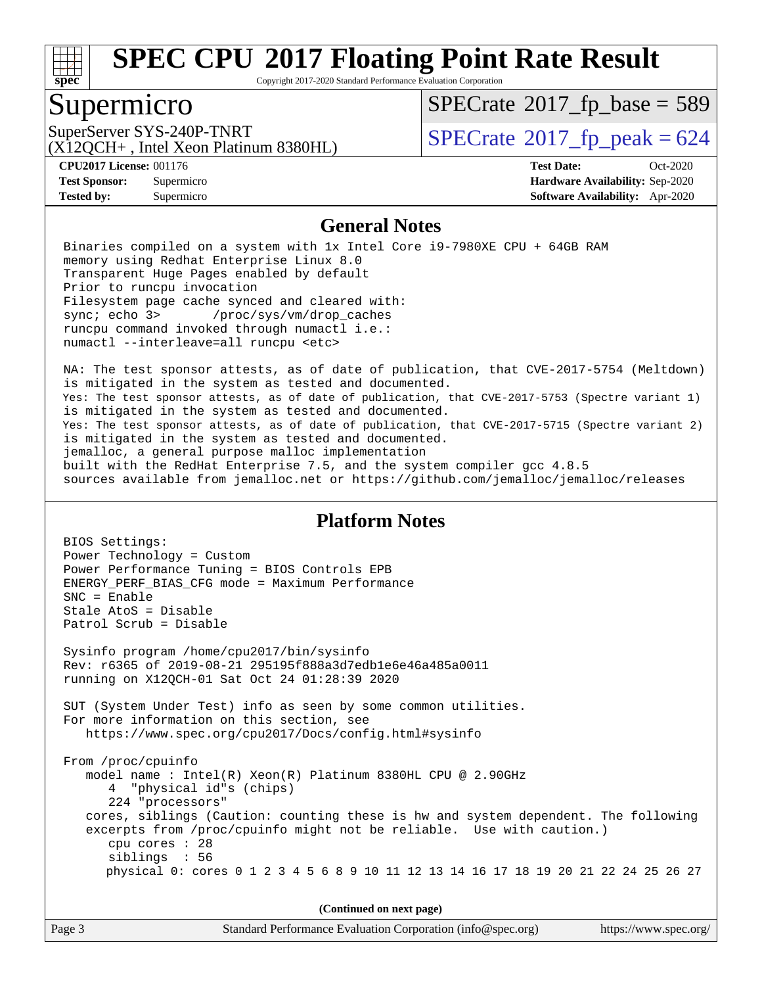

Copyright 2017-2020 Standard Performance Evaluation Corporation

## Supermicro

 $SPECTate$ <sup>®</sup>[2017\\_fp\\_base =](http://www.spec.org/auto/cpu2017/Docs/result-fields.html#SPECrate2017fpbase) 589

(X12QCH+ , Intel Xeon Platinum 8380HL)

SuperServer SYS-240P-TNRT  $\begin{array}{c|c}\n\text{SuperServer SYS-240P-TNRT} & \text{SPECrate} \n\hline\n\end{array}$  $\begin{array}{c|c}\n\text{SuperServer SYS-240P-TNRT} & \text{SPECrate} \n\hline\n\end{array}$  $\begin{array}{c|c}\n\text{SuperServer SYS-240P-TNRT} & \text{SPECrate} \n\hline\n\end{array}$ 

BIOS Settings:

**[Tested by:](http://www.spec.org/auto/cpu2017/Docs/result-fields.html#Testedby)** Supermicro **[Software Availability:](http://www.spec.org/auto/cpu2017/Docs/result-fields.html#SoftwareAvailability)** Apr-2020

**[CPU2017 License:](http://www.spec.org/auto/cpu2017/Docs/result-fields.html#CPU2017License)** 001176 **[Test Date:](http://www.spec.org/auto/cpu2017/Docs/result-fields.html#TestDate)** Oct-2020 **[Test Sponsor:](http://www.spec.org/auto/cpu2017/Docs/result-fields.html#TestSponsor)** Supermicro **[Hardware Availability:](http://www.spec.org/auto/cpu2017/Docs/result-fields.html#HardwareAvailability)** Sep-2020

#### **[General Notes](http://www.spec.org/auto/cpu2017/Docs/result-fields.html#GeneralNotes)**

 Binaries compiled on a system with 1x Intel Core i9-7980XE CPU + 64GB RAM memory using Redhat Enterprise Linux 8.0 Transparent Huge Pages enabled by default Prior to runcpu invocation Filesystem page cache synced and cleared with: sync; echo 3> /proc/sys/vm/drop\_caches runcpu command invoked through numactl i.e.: numactl --interleave=all runcpu <etc>

 NA: The test sponsor attests, as of date of publication, that CVE-2017-5754 (Meltdown) is mitigated in the system as tested and documented. Yes: The test sponsor attests, as of date of publication, that CVE-2017-5753 (Spectre variant 1) is mitigated in the system as tested and documented. Yes: The test sponsor attests, as of date of publication, that CVE-2017-5715 (Spectre variant 2) is mitigated in the system as tested and documented. jemalloc, a general purpose malloc implementation built with the RedHat Enterprise 7.5, and the system compiler gcc 4.8.5 sources available from jemalloc.net or<https://github.com/jemalloc/jemalloc/releases>

#### **[Platform Notes](http://www.spec.org/auto/cpu2017/Docs/result-fields.html#PlatformNotes)**

| (Continued on next page)                                                                                                                                                                                                                                                                                                                                                                                                      |  |  |  |  |  |
|-------------------------------------------------------------------------------------------------------------------------------------------------------------------------------------------------------------------------------------------------------------------------------------------------------------------------------------------------------------------------------------------------------------------------------|--|--|--|--|--|
| From /proc/cpuinfo<br>model name: $Intel(R)$ Xeon(R) Platinum 8380HL CPU @ 2.90GHz<br>4 "physical id"s (chips)<br>224 "processors"<br>cores, siblings (Caution: counting these is hw and system dependent. The following<br>excerpts from /proc/cpuinfo might not be reliable. Use with caution.)<br>cpu cores $: 28$<br>siblings : 56<br>physical 0: cores 0 1 2 3 4 5 6 8 9 10 11 12 13 14 16 17 18 19 20 21 22 24 25 26 27 |  |  |  |  |  |
| SUT (System Under Test) info as seen by some common utilities.<br>For more information on this section, see<br>https://www.spec.org/cpu2017/Docs/config.html#sysinfo                                                                                                                                                                                                                                                          |  |  |  |  |  |
| Sysinfo program /home/cpu2017/bin/sysinfo<br>Rev: r6365 of 2019-08-21 295195f888a3d7edb1e6e46a485a0011<br>running on X120CH-01 Sat Oct 24 01:28:39 2020                                                                                                                                                                                                                                                                       |  |  |  |  |  |
| $SNC = Enable$<br>Stale AtoS = Disable<br>Patrol Scrub = Disable                                                                                                                                                                                                                                                                                                                                                              |  |  |  |  |  |
| BIOS Settings:<br>Power Technology = Custom<br>Power Performance Tuning = BIOS Controls EPB<br>ENERGY_PERF_BIAS_CFG mode = Maximum Performance                                                                                                                                                                                                                                                                                |  |  |  |  |  |

Page 3 Standard Performance Evaluation Corporation [\(info@spec.org\)](mailto:info@spec.org) <https://www.spec.org/>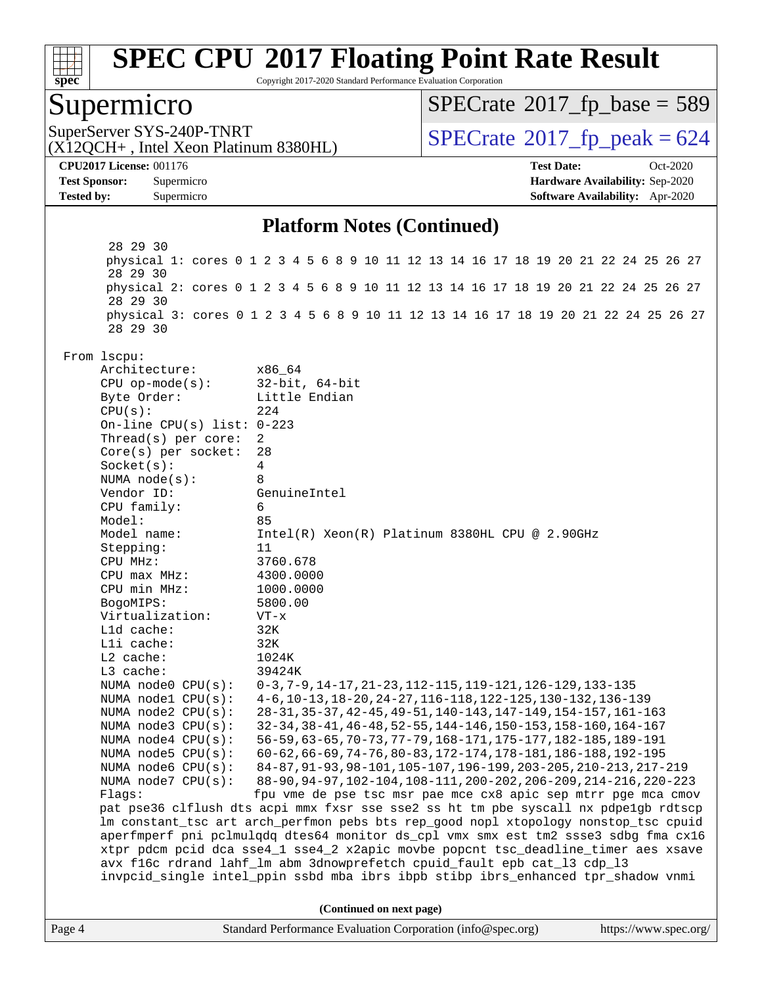

Copyright 2017-2020 Standard Performance Evaluation Corporation

#### Supermicro

 $SPECTate$ <sup>®</sup>[2017\\_fp\\_base =](http://www.spec.org/auto/cpu2017/Docs/result-fields.html#SPECrate2017fpbase) 589

(X12QCH+ , Intel Xeon Platinum 8380HL)

SuperServer SYS-240P-TNRT  $\begin{array}{c|c}\n\text{SuperServer SYS-240P-TNRT} & \text{SPECrate} \n\hline\n\end{array}$  $\begin{array}{c|c}\n\text{SuperServer SYS-240P-TNRT} & \text{SPECrate} \n\hline\n\end{array}$  $\begin{array}{c|c}\n\text{SuperServer SYS-240P-TNRT} & \text{SPECrate} \n\hline\n\end{array}$ 

**[CPU2017 License:](http://www.spec.org/auto/cpu2017/Docs/result-fields.html#CPU2017License)** 001176 **[Test Date:](http://www.spec.org/auto/cpu2017/Docs/result-fields.html#TestDate)** Oct-2020 **[Test Sponsor:](http://www.spec.org/auto/cpu2017/Docs/result-fields.html#TestSponsor)** Supermicro **[Hardware Availability:](http://www.spec.org/auto/cpu2017/Docs/result-fields.html#HardwareAvailability)** Sep-2020 **[Tested by:](http://www.spec.org/auto/cpu2017/Docs/result-fields.html#Testedby)** Supermicro **[Software Availability:](http://www.spec.org/auto/cpu2017/Docs/result-fields.html#SoftwareAvailability)** Apr-2020

#### **[Platform Notes \(Continued\)](http://www.spec.org/auto/cpu2017/Docs/result-fields.html#PlatformNotes)**

Page 4 Standard Performance Evaluation Corporation [\(info@spec.org\)](mailto:info@spec.org) <https://www.spec.org/> 28 29 30 physical 1: cores 0 1 2 3 4 5 6 8 9 10 11 12 13 14 16 17 18 19 20 21 22 24 25 26 27 28 29 30 physical 2: cores 0 1 2 3 4 5 6 8 9 10 11 12 13 14 16 17 18 19 20 21 22 24 25 26 27 28 29 30 physical 3: cores 0 1 2 3 4 5 6 8 9 10 11 12 13 14 16 17 18 19 20 21 22 24 25 26 27 28 29 30 From lscpu: Architecture: x86\_64 CPU op-mode(s): 32-bit, 64-bit Byte Order: Little Endian  $CPU(s):$  224 On-line CPU(s) list: 0-223 Thread(s) per core: 2 Core(s) per socket: 28 Socket(s): 4 NUMA node(s): 8 Vendor ID: GenuineIntel CPU family: 6 Model: 85 Model name:  $Intel(R)$  Xeon(R) Platinum 8380HL CPU @ 2.90GHz Stepping: 11 CPU MHz: 3760.678 CPU max MHz: 4300.0000 CPU min MHz: 1000.0000 BogoMIPS: 5800.00 Virtualization: VT-x L1d cache: 32K L1i cache: 32K L2 cache: 1024K L3 cache: 39424K NUMA node0 CPU(s): 0-3,7-9,14-17,21-23,112-115,119-121,126-129,133-135 NUMA node1 CPU(s): 4-6,10-13,18-20,24-27,116-118,122-125,130-132,136-139 NUMA node2 CPU(s): 28-31,35-37,42-45,49-51,140-143,147-149,154-157,161-163 NUMA node3 CPU(s): 32-34,38-41,46-48,52-55,144-146,150-153,158-160,164-167 NUMA node4 CPU(s): 56-59,63-65,70-73,77-79,168-171,175-177,182-185,189-191<br>NUMA node5 CPU(s): 60-62,66-69,74-76,80-83,172-174,178-181,186-188,192-195 60-62,66-69,74-76,80-83,172-174,178-181,186-188,192-195 NUMA node6 CPU(s): 84-87,91-93,98-101,105-107,196-199,203-205,210-213,217-219 NUMA node7 CPU(s): 88-90,94-97,102-104,108-111,200-202,206-209,214-216,220-223 Flags: fpu vme de pse tsc msr pae mce cx8 apic sep mtrr pge mca cmov pat pse36 clflush dts acpi mmx fxsr sse sse2 ss ht tm pbe syscall nx pdpe1gb rdtscp lm constant\_tsc art arch\_perfmon pebs bts rep\_good nopl xtopology nonstop\_tsc cpuid aperfmperf pni pclmulqdq dtes64 monitor ds\_cpl vmx smx est tm2 ssse3 sdbg fma cx16 xtpr pdcm pcid dca sse4\_1 sse4\_2 x2apic movbe popcnt tsc\_deadline\_timer aes xsave avx f16c rdrand lahf\_lm abm 3dnowprefetch cpuid\_fault epb cat\_l3 cdp\_l3 invpcid\_single intel\_ppin ssbd mba ibrs ibpb stibp ibrs\_enhanced tpr\_shadow vnmi **(Continued on next page)**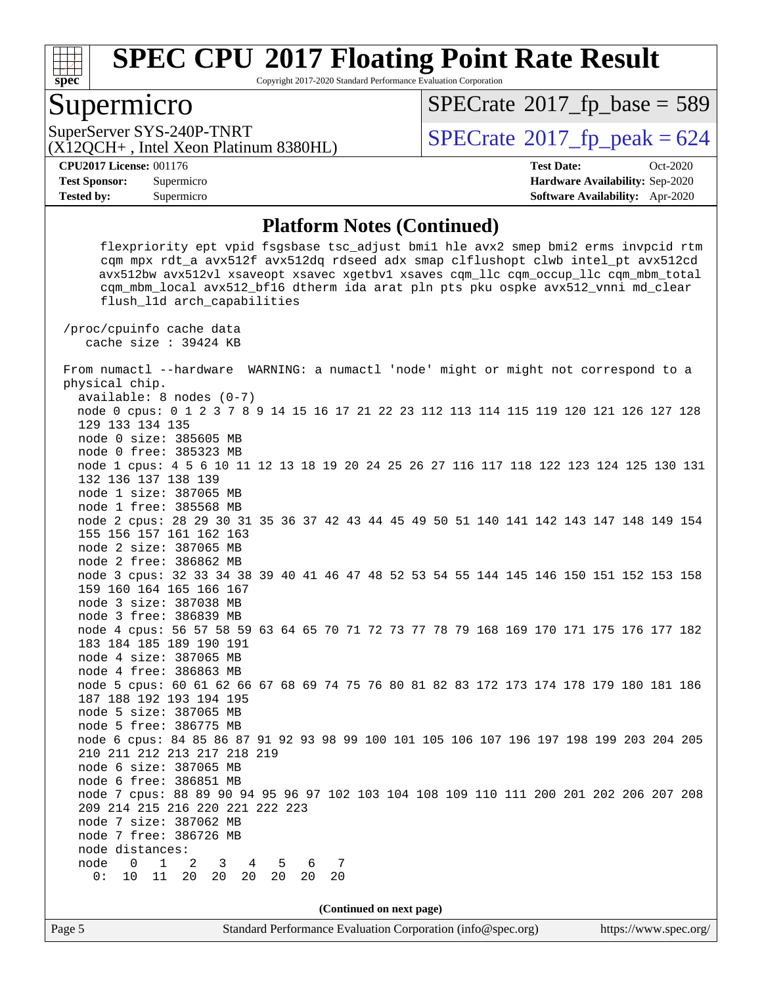

Copyright 2017-2020 Standard Performance Evaluation Corporation

#### Supermicro

 $SPECTate$ <sup>®</sup>[2017\\_fp\\_base =](http://www.spec.org/auto/cpu2017/Docs/result-fields.html#SPECrate2017fpbase) 589

(X12QCH+ , Intel Xeon Platinum 8380HL)

SuperServer SYS-240P-TNRT  $\begin{array}{c|c}\n\text{SuperServer SYS-240P-TNRT} & \text{SPECrate} \n\hline\n\text{C120CH+ Intel Yeon Platinum 8380HI}\n\end{array}$  $\begin{array}{c|c}\n\text{SuperServer SYS-240P-TNRT} & \text{SPECrate} \n\hline\n\text{C120CH+ Intel Yeon Platinum 8380HI}\n\end{array}$  $\begin{array}{c|c}\n\text{SuperServer SYS-240P-TNRT} & \text{SPECrate} \n\hline\n\text{C120CH+ Intel Yeon Platinum 8380HI}\n\end{array}$ 

**[Tested by:](http://www.spec.org/auto/cpu2017/Docs/result-fields.html#Testedby)** Supermicro **[Software Availability:](http://www.spec.org/auto/cpu2017/Docs/result-fields.html#SoftwareAvailability)** Apr-2020

**[CPU2017 License:](http://www.spec.org/auto/cpu2017/Docs/result-fields.html#CPU2017License)** 001176 **[Test Date:](http://www.spec.org/auto/cpu2017/Docs/result-fields.html#TestDate)** Oct-2020 **[Test Sponsor:](http://www.spec.org/auto/cpu2017/Docs/result-fields.html#TestSponsor)** Supermicro **[Hardware Availability:](http://www.spec.org/auto/cpu2017/Docs/result-fields.html#HardwareAvailability)** Sep-2020

#### **[Platform Notes \(Continued\)](http://www.spec.org/auto/cpu2017/Docs/result-fields.html#PlatformNotes)**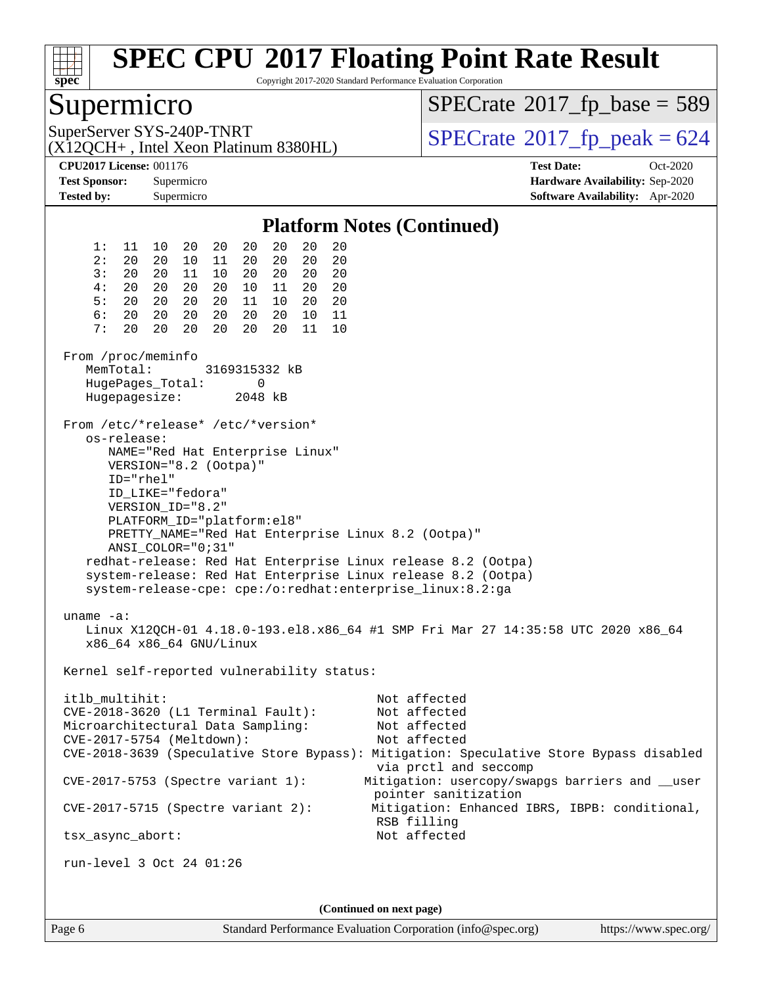

Copyright 2017-2020 Standard Performance Evaluation Corporation

## Supermicro

 $SPECTate$ <sup>®</sup>[2017\\_fp\\_base =](http://www.spec.org/auto/cpu2017/Docs/result-fields.html#SPECrate2017fpbase) 589

(X12QCH+ , Intel Xeon Platinum 8380HL)

SuperServer SYS-240P-TNRT  $\begin{array}{c|c}\n\text{SuperServer SYS-240P-TNRT} & \text{SPECrate} \textcirc 2017\_fp\_peak = 624\n\end{array}$  $\begin{array}{c|c}\n\text{SuperServer SYS-240P-TNRT} & \text{SPECrate} \textcirc 2017\_fp\_peak = 624\n\end{array}$  $\begin{array}{c|c}\n\text{SuperServer SYS-240P-TNRT} & \text{SPECrate} \textcirc 2017\_fp\_peak = 624\n\end{array}$ 

**[CPU2017 License:](http://www.spec.org/auto/cpu2017/Docs/result-fields.html#CPU2017License)** 001176 **[Test Date:](http://www.spec.org/auto/cpu2017/Docs/result-fields.html#TestDate)** Oct-2020 **[Test Sponsor:](http://www.spec.org/auto/cpu2017/Docs/result-fields.html#TestSponsor)** Supermicro **[Hardware Availability:](http://www.spec.org/auto/cpu2017/Docs/result-fields.html#HardwareAvailability)** Sep-2020 **[Tested by:](http://www.spec.org/auto/cpu2017/Docs/result-fields.html#Testedby)** Supermicro **[Software Availability:](http://www.spec.org/auto/cpu2017/Docs/result-fields.html#SoftwareAvailability)** Apr-2020

#### **[Platform Notes \(Continued\)](http://www.spec.org/auto/cpu2017/Docs/result-fields.html#PlatformNotes)** 1: 11 10 20 20 20 20 20 20 2: 20 20 10 11 20 20 20 20 3: 20 20 11 10 20 20 20 20 4: 20 20 20 20 10 11 20 20 5: 20 20 20 20 11 10 20 20 6: 20 20 20 20 20 20 10 11 7: 20 20 20 20 20 11 From /proc/meminfo MemTotal: 3169315332 kB HugePages\_Total: 0 Hugepagesize: 2048 kB From /etc/\*release\* /etc/\*version\* os-release: NAME="Red Hat Enterprise Linux" VERSION="8.2 (Ootpa)" ID="rhel" ID\_LIKE="fedora" VERSION\_ID="8.2" PLATFORM\_ID="platform:el8" PRETTY\_NAME="Red Hat Enterprise Linux 8.2 (Ootpa)" ANSI\_COLOR="0;31" redhat-release: Red Hat Enterprise Linux release 8.2 (Ootpa) system-release: Red Hat Enterprise Linux release 8.2 (Ootpa) system-release-cpe: cpe:/o:redhat:enterprise\_linux:8.2:ga uname -a: Linux X12QCH-01 4.18.0-193.el8.x86\_64 #1 SMP Fri Mar 27 14:35:58 UTC 2020 x86\_64 x86\_64 x86\_64 GNU/Linux Kernel self-reported vulnerability status: itlb\_multihit: Not affected CVE-2018-3620 (L1 Terminal Fault): Not affected Microarchitectural Data Sampling: Not affected CVE-2017-5754 (Meltdown): Not affected CVE-2018-3639 (Speculative Store Bypass): Mitigation: Speculative Store Bypass disabled via prctl and seccomp CVE-2017-5753 (Spectre variant 1): Mitigation: usercopy/swapgs barriers and \_\_user pointer sanitization CVE-2017-5715 (Spectre variant 2): Mitigation: Enhanced IBRS, IBPB: conditional, RSB filling tsx\_async\_abort: Not affected run-level 3 Oct 24 01:26 **(Continued on next page)**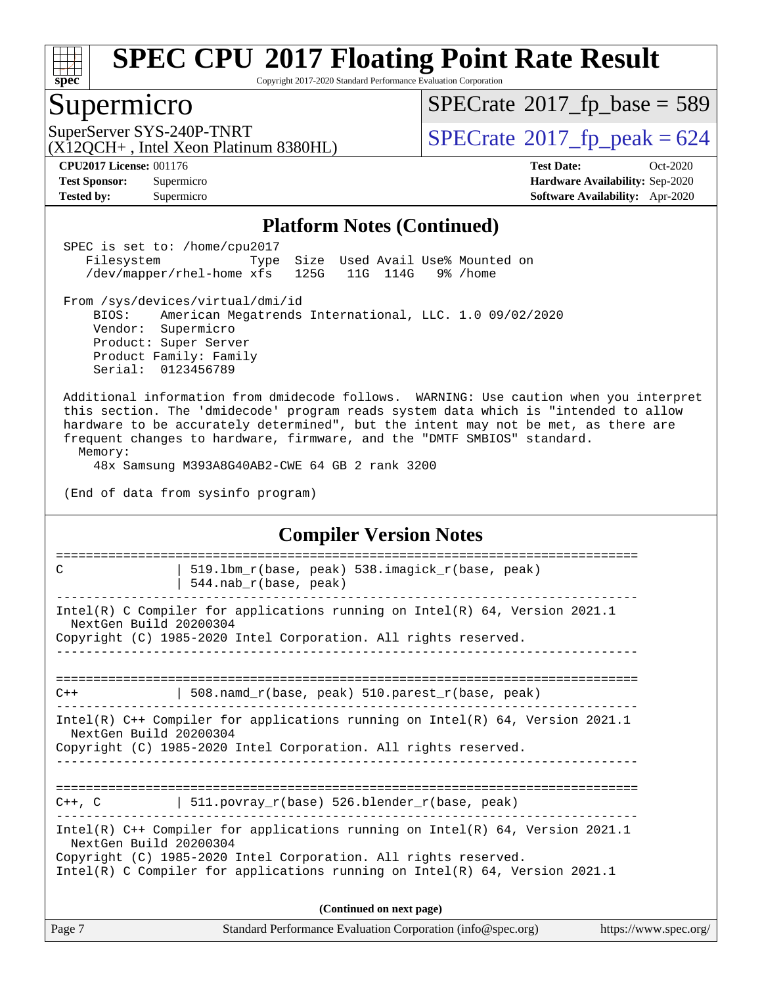

Copyright 2017-2020 Standard Performance Evaluation Corporation

## Supermicro

 $SPECTate$ <sup>®</sup>[2017\\_fp\\_base =](http://www.spec.org/auto/cpu2017/Docs/result-fields.html#SPECrate2017fpbase) 589

(X12QCH+ , Intel Xeon Platinum 8380HL)

SuperServer SYS-240P-TNRT  $\begin{array}{c|c}\n\text{SuperServer SYS-240P-TNRT} & \text{SPECrate} \n\hline\n\text{C120CH+ Intel Yeon Platinum 8380HI}\n\end{array}$  $\begin{array}{c|c}\n\text{SuperServer SYS-240P-TNRT} & \text{SPECrate} \n\hline\n\text{C120CH+ Intel Yeon Platinum 8380HI}\n\end{array}$  $\begin{array}{c|c}\n\text{SuperServer SYS-240P-TNRT} & \text{SPECrate} \n\hline\n\text{C120CH+ Intel Yeon Platinum 8380HI}\n\end{array}$ 

**[Tested by:](http://www.spec.org/auto/cpu2017/Docs/result-fields.html#Testedby)** Supermicro **[Software Availability:](http://www.spec.org/auto/cpu2017/Docs/result-fields.html#SoftwareAvailability)** Apr-2020

**[CPU2017 License:](http://www.spec.org/auto/cpu2017/Docs/result-fields.html#CPU2017License)** 001176 **[Test Date:](http://www.spec.org/auto/cpu2017/Docs/result-fields.html#TestDate)** Oct-2020 **[Test Sponsor:](http://www.spec.org/auto/cpu2017/Docs/result-fields.html#TestSponsor)** Supermicro **[Hardware Availability:](http://www.spec.org/auto/cpu2017/Docs/result-fields.html#HardwareAvailability)** Sep-2020

#### **[Platform Notes \(Continued\)](http://www.spec.org/auto/cpu2017/Docs/result-fields.html#PlatformNotes)**

 SPEC is set to: /home/cpu2017 Filesystem Type Size Used Avail Use% Mounted on /dev/mapper/rhel-home xfs 125G 11G 114G 9% /home

 From /sys/devices/virtual/dmi/id BIOS: American Megatrends International, LLC. 1.0 09/02/2020

 Vendor: Supermicro Product: Super Server Product Family: Family Serial: 0123456789

 Additional information from dmidecode follows. WARNING: Use caution when you interpret this section. The 'dmidecode' program reads system data which is "intended to allow hardware to be accurately determined", but the intent may not be met, as there are frequent changes to hardware, firmware, and the "DMTF SMBIOS" standard. Memory:

48x Samsung M393A8G40AB2-CWE 64 GB 2 rank 3200

(End of data from sysinfo program)

#### **[Compiler Version Notes](http://www.spec.org/auto/cpu2017/Docs/result-fields.html#CompilerVersionNotes)** ============================================================================== C  $\vert$  519.1bm r(base, peak) 538.imagick r(base, peak) | 544.nab\_r(base, peak) ------------------------------------------------------------------------------ Intel(R) C Compiler for applications running on Intel(R) 64, Version 2021.1 NextGen Build 20200304 Copyright (C) 1985-2020 Intel Corporation. All rights reserved. ------------------------------------------------------------------------------ ==============================================================================  $C++$  | 508.namd\_r(base, peak) 510.parest\_r(base, peak) ------------------------------------------------------------------------------ Intel(R) C++ Compiler for applications running on Intel(R) 64, Version 2021.1 NextGen Build 20200304 Copyright (C) 1985-2020 Intel Corporation. All rights reserved. ------------------------------------------------------------------------------

#### ============================================================================== C++, C  $| 511.povray_r(base) 526.blender_r(base, peak)$ ------------------------------------------------------------------------------

Intel(R) C++ Compiler for applications running on Intel(R) 64, Version 2021.1 NextGen Build 20200304

Copyright (C) 1985-2020 Intel Corporation. All rights reserved.

Intel(R) C Compiler for applications running on Intel(R) 64, Version 2021.1

| Page 7 | Standard Performance Evaluation Corporation (info@spec.org) | https://www.spec.org/ |
|--------|-------------------------------------------------------------|-----------------------|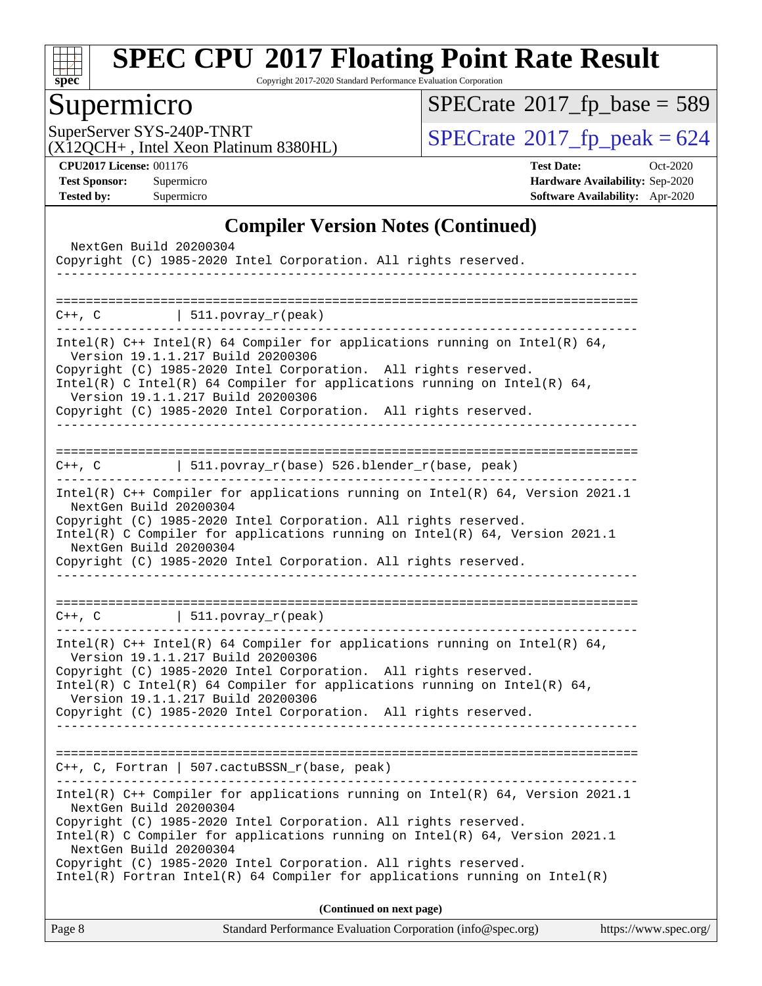

Copyright 2017-2020 Standard Performance Evaluation Corporation

## Supermicro

 $SPECrate$ <sup>®</sup>[2017\\_fp\\_base =](http://www.spec.org/auto/cpu2017/Docs/result-fields.html#SPECrate2017fpbase) 589

(X12QCH+ , Intel Xeon Platinum 8380HL)

SuperServer SYS-240P-TNRT<br>(X12OCH+ Intel Xeon Platinum 8380HL) [SPECrate](http://www.spec.org/auto/cpu2017/Docs/result-fields.html#SPECrate2017fppeak)®[2017\\_fp\\_peak = 6](http://www.spec.org/auto/cpu2017/Docs/result-fields.html#SPECrate2017fppeak)24

**[CPU2017 License:](http://www.spec.org/auto/cpu2017/Docs/result-fields.html#CPU2017License)** 001176 **[Test Date:](http://www.spec.org/auto/cpu2017/Docs/result-fields.html#TestDate)** Oct-2020 **[Test Sponsor:](http://www.spec.org/auto/cpu2017/Docs/result-fields.html#TestSponsor)** Supermicro **[Hardware Availability:](http://www.spec.org/auto/cpu2017/Docs/result-fields.html#HardwareAvailability)** Sep-2020 **[Tested by:](http://www.spec.org/auto/cpu2017/Docs/result-fields.html#Testedby)** Supermicro **[Software Availability:](http://www.spec.org/auto/cpu2017/Docs/result-fields.html#SoftwareAvailability)** Apr-2020

#### **[Compiler Version Notes \(Continued\)](http://www.spec.org/auto/cpu2017/Docs/result-fields.html#CompilerVersionNotes)**

| Standard Performance Evaluation Corporation (info@spec.org)<br>Page 8                                                                                                                                                                                                                                                                                                                                                                     | https://www.spec.org/ |
|-------------------------------------------------------------------------------------------------------------------------------------------------------------------------------------------------------------------------------------------------------------------------------------------------------------------------------------------------------------------------------------------------------------------------------------------|-----------------------|
| (Continued on next page)                                                                                                                                                                                                                                                                                                                                                                                                                  |                       |
| Intel(R) C++ Compiler for applications running on Intel(R) 64, Version 2021.1<br>NextGen Build 20200304<br>Copyright (C) 1985-2020 Intel Corporation. All rights reserved.<br>Intel(R) C Compiler for applications running on $Intel(R) 64$ , Version 2021.1<br>NextGen Build 20200304<br>Copyright (C) 1985-2020 Intel Corporation. All rights reserved.<br>$Intel(R)$ Fortran Intel(R) 64 Compiler for applications running on Intel(R) |                       |
| $C++$ , C, Fortran   507.cactuBSSN_r(base, peak)                                                                                                                                                                                                                                                                                                                                                                                          |                       |
|                                                                                                                                                                                                                                                                                                                                                                                                                                           |                       |
| Version 19.1.1.217 Build 20200306<br>Copyright (C) 1985-2020 Intel Corporation. All rights reserved.<br>Intel(R) C Intel(R) 64 Compiler for applications running on Intel(R) 64,<br>Version 19.1.1.217 Build 20200306<br>Copyright (C) 1985-2020 Intel Corporation. All rights reserved.<br>__________________                                                                                                                            |                       |
| Intel(R) $C++$ Intel(R) 64 Compiler for applications running on Intel(R) 64,                                                                                                                                                                                                                                                                                                                                                              |                       |
| $C++$ , C $\qquad \qquad$ 511.povray_r(peak)                                                                                                                                                                                                                                                                                                                                                                                              |                       |
| Copyright (C) 1985-2020 Intel Corporation. All rights reserved.                                                                                                                                                                                                                                                                                                                                                                           |                       |
| Copyright (C) 1985-2020 Intel Corporation. All rights reserved.<br>Intel(R) C Compiler for applications running on Intel(R) $64$ , Version 2021.1<br>NextGen Build 20200304                                                                                                                                                                                                                                                               |                       |
| Intel(R) $C++$ Compiler for applications running on Intel(R) 64, Version 2021.1<br>NextGen Build 20200304                                                                                                                                                                                                                                                                                                                                 |                       |
| C++, C $  511.povray_r(base) 526.blender_r(base, peak)$                                                                                                                                                                                                                                                                                                                                                                                   |                       |
| Intel(R) $C++$ Intel(R) 64 Compiler for applications running on Intel(R) 64,<br>Version 19.1.1.217 Build 20200306<br>Copyright (C) 1985-2020 Intel Corporation. All rights reserved.<br>Intel(R) C Intel(R) 64 Compiler for applications running on Intel(R) 64,<br>Version 19.1.1.217 Build 20200306<br>Copyright (C) 1985-2020 Intel Corporation. All rights reserved.                                                                  |                       |
| $C++$ , C $\qquad \qquad$ 511. povray_r(peak)                                                                                                                                                                                                                                                                                                                                                                                             |                       |
|                                                                                                                                                                                                                                                                                                                                                                                                                                           |                       |
| NextGen Build 20200304<br>Copyright (C) 1985-2020 Intel Corporation. All rights reserved.                                                                                                                                                                                                                                                                                                                                                 |                       |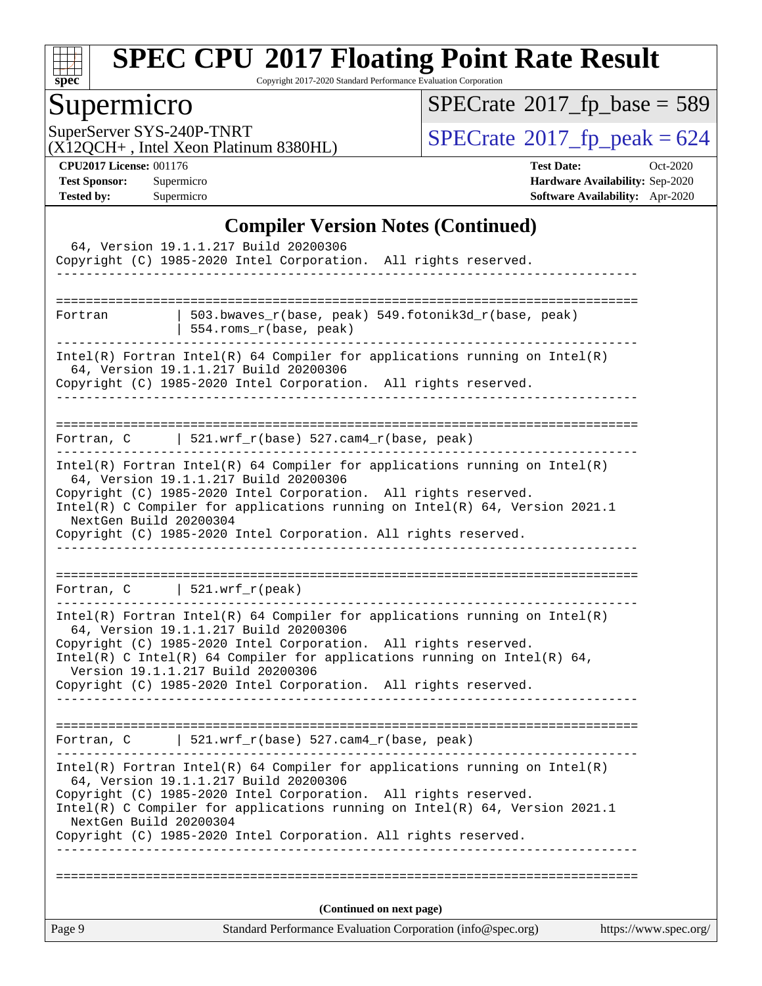

Copyright 2017-2020 Standard Performance Evaluation Corporation

## Supermicro

 $SPECrate$ <sup>®</sup>[2017\\_fp\\_base =](http://www.spec.org/auto/cpu2017/Docs/result-fields.html#SPECrate2017fpbase) 589

(X12QCH+ , Intel Xeon Platinum 8380HL)

SuperServer SYS-240P-TNRT<br>(X12OCH+ Intel Xeon Platinum 8380HL) [SPECrate](http://www.spec.org/auto/cpu2017/Docs/result-fields.html#SPECrate2017fppeak)®[2017\\_fp\\_peak = 6](http://www.spec.org/auto/cpu2017/Docs/result-fields.html#SPECrate2017fppeak)24

**[CPU2017 License:](http://www.spec.org/auto/cpu2017/Docs/result-fields.html#CPU2017License)** 001176 **[Test Date:](http://www.spec.org/auto/cpu2017/Docs/result-fields.html#TestDate)** Oct-2020 **[Test Sponsor:](http://www.spec.org/auto/cpu2017/Docs/result-fields.html#TestSponsor)** Supermicro **[Hardware Availability:](http://www.spec.org/auto/cpu2017/Docs/result-fields.html#HardwareAvailability)** Sep-2020 **[Tested by:](http://www.spec.org/auto/cpu2017/Docs/result-fields.html#Testedby)** Supermicro **[Software Availability:](http://www.spec.org/auto/cpu2017/Docs/result-fields.html#SoftwareAvailability)** Apr-2020

#### **[Compiler Version Notes \(Continued\)](http://www.spec.org/auto/cpu2017/Docs/result-fields.html#CompilerVersionNotes)**

|                        | 64, Version 19.1.1.217 Build 20200306<br>Copyright (C) 1985-2020 Intel Corporation. All rights reserved.                                                                                                                                                                                                                                                                                                                                                                             |                       |
|------------------------|--------------------------------------------------------------------------------------------------------------------------------------------------------------------------------------------------------------------------------------------------------------------------------------------------------------------------------------------------------------------------------------------------------------------------------------------------------------------------------------|-----------------------|
| Fortran                | 503.bwaves_r(base, peak) 549.fotonik3d_r(base, peak)<br>554.roms_r(base, peak)<br>------------------------------------                                                                                                                                                                                                                                                                                                                                                               |                       |
|                        | $Intel(R)$ Fortran Intel(R) 64 Compiler for applications running on Intel(R)<br>64, Version 19.1.1.217 Build 20200306<br>Copyright (C) 1985-2020 Intel Corporation. All rights reserved.                                                                                                                                                                                                                                                                                             |                       |
|                        | Fortran, C $\vert$ 521.wrf_r(base) 527.cam4_r(base, peak)                                                                                                                                                                                                                                                                                                                                                                                                                            |                       |
| NextGen Build 20200304 | $Intel(R)$ Fortran Intel(R) 64 Compiler for applications running on Intel(R)<br>64, Version 19.1.1.217 Build 20200306<br>Copyright (C) 1985-2020 Intel Corporation. All rights reserved.<br>Intel(R) C Compiler for applications running on Intel(R) 64, Version 2021.1<br>Copyright (C) 1985-2020 Intel Corporation. All rights reserved.                                                                                                                                           |                       |
| _____________________  | Fortran, $C$   521.wrf_r(peak)<br>_________________________<br>$Intel(R)$ Fortran Intel(R) 64 Compiler for applications running on Intel(R)<br>64, Version 19.1.1.217 Build 20200306<br>Copyright (C) 1985-2020 Intel Corporation. All rights reserved.<br>Intel(R) C Intel(R) 64 Compiler for applications running on Intel(R) 64,<br>Version 19.1.1.217 Build 20200306<br>Copyright (C) 1985-2020 Intel Corporation. All rights reserved.<br>------------------------------------- |                       |
|                        | Fortran, $C$   521.wrf_r(base) 527.cam4_r(base, peak)                                                                                                                                                                                                                                                                                                                                                                                                                                |                       |
| NextGen Build 20200304 | $Intel(R)$ Fortran Intel(R) 64 Compiler for applications running on Intel(R)<br>64, Version 19.1.1.217 Build 20200306<br>Copyright (C) 1985-2020 Intel Corporation. All rights reserved.<br>Intel(R) C Compiler for applications running on Intel(R) 64, Version 2021.1<br>Copyright (C) 1985-2020 Intel Corporation. All rights reserved.                                                                                                                                           |                       |
|                        | (Continued on next page)                                                                                                                                                                                                                                                                                                                                                                                                                                                             |                       |
| Page 9                 | Standard Performance Evaluation Corporation (info@spec.org)                                                                                                                                                                                                                                                                                                                                                                                                                          | https://www.spec.org/ |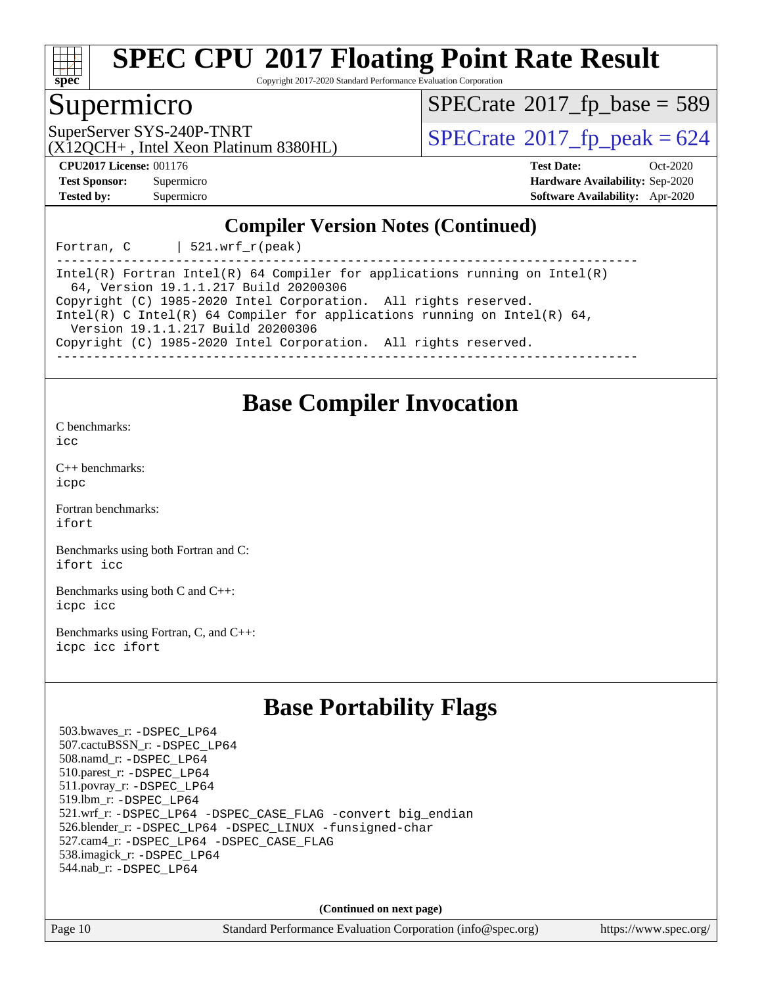

Copyright 2017-2020 Standard Performance Evaluation Corporation

### Supermicro

 $SPECTate$ <sup>®</sup>[2017\\_fp\\_base =](http://www.spec.org/auto/cpu2017/Docs/result-fields.html#SPECrate2017fpbase) 589

(X12QCH+ , Intel Xeon Platinum 8380HL)

SuperServer SYS-240P-TNRT  $\begin{array}{c|c}\n\text{SuperServer SYS-240P-TNRT} & \text{SPECrate} \n\hline\n\end{array}$  $\begin{array}{c|c}\n\text{SuperServer SYS-240P-TNRT} & \text{SPECrate} \n\hline\n\end{array}$  $\begin{array}{c|c}\n\text{SuperServer SYS-240P-TNRT} & \text{SPECrate} \n\hline\n\end{array}$ 

**[CPU2017 License:](http://www.spec.org/auto/cpu2017/Docs/result-fields.html#CPU2017License)** 001176 **[Test Date:](http://www.spec.org/auto/cpu2017/Docs/result-fields.html#TestDate)** Oct-2020 **[Test Sponsor:](http://www.spec.org/auto/cpu2017/Docs/result-fields.html#TestSponsor)** Supermicro **[Hardware Availability:](http://www.spec.org/auto/cpu2017/Docs/result-fields.html#HardwareAvailability)** Sep-2020 **[Tested by:](http://www.spec.org/auto/cpu2017/Docs/result-fields.html#Testedby)** Supermicro **[Software Availability:](http://www.spec.org/auto/cpu2017/Docs/result-fields.html#SoftwareAvailability)** Apr-2020

#### **[Compiler Version Notes \(Continued\)](http://www.spec.org/auto/cpu2017/Docs/result-fields.html#CompilerVersionNotes)**

Fortran,  $C$  | 521.wrf  $r(\text{peak})$ 

------------------------------------------------------------------------------ Intel(R) Fortran Intel(R) 64 Compiler for applications running on Intel(R) 64, Version 19.1.1.217 Build 20200306 Copyright (C) 1985-2020 Intel Corporation. All rights reserved. Intel(R) C Intel(R) 64 Compiler for applications running on Intel(R) 64, Version 19.1.1.217 Build 20200306 Copyright (C) 1985-2020 Intel Corporation. All rights reserved. ------------------------------------------------------------------------------

**[Base Compiler Invocation](http://www.spec.org/auto/cpu2017/Docs/result-fields.html#BaseCompilerInvocation)**

[C benchmarks](http://www.spec.org/auto/cpu2017/Docs/result-fields.html#Cbenchmarks): [icc](http://www.spec.org/cpu2017/results/res2020q4/cpu2017-20201027-24308.flags.html#user_CCbase_intel_icc_66fc1ee009f7361af1fbd72ca7dcefbb700085f36577c54f309893dd4ec40d12360134090235512931783d35fd58c0460139e722d5067c5574d8eaf2b3e37e92)

[C++ benchmarks:](http://www.spec.org/auto/cpu2017/Docs/result-fields.html#CXXbenchmarks) [icpc](http://www.spec.org/cpu2017/results/res2020q4/cpu2017-20201027-24308.flags.html#user_CXXbase_intel_icpc_c510b6838c7f56d33e37e94d029a35b4a7bccf4766a728ee175e80a419847e808290a9b78be685c44ab727ea267ec2f070ec5dc83b407c0218cded6866a35d07)

[Fortran benchmarks](http://www.spec.org/auto/cpu2017/Docs/result-fields.html#Fortranbenchmarks): [ifort](http://www.spec.org/cpu2017/results/res2020q4/cpu2017-20201027-24308.flags.html#user_FCbase_intel_ifort_8111460550e3ca792625aed983ce982f94888b8b503583aa7ba2b8303487b4d8a21a13e7191a45c5fd58ff318f48f9492884d4413fa793fd88dd292cad7027ca)

[Benchmarks using both Fortran and C](http://www.spec.org/auto/cpu2017/Docs/result-fields.html#BenchmarksusingbothFortranandC): [ifort](http://www.spec.org/cpu2017/results/res2020q4/cpu2017-20201027-24308.flags.html#user_CC_FCbase_intel_ifort_8111460550e3ca792625aed983ce982f94888b8b503583aa7ba2b8303487b4d8a21a13e7191a45c5fd58ff318f48f9492884d4413fa793fd88dd292cad7027ca) [icc](http://www.spec.org/cpu2017/results/res2020q4/cpu2017-20201027-24308.flags.html#user_CC_FCbase_intel_icc_66fc1ee009f7361af1fbd72ca7dcefbb700085f36577c54f309893dd4ec40d12360134090235512931783d35fd58c0460139e722d5067c5574d8eaf2b3e37e92)

[Benchmarks using both C and C++](http://www.spec.org/auto/cpu2017/Docs/result-fields.html#BenchmarksusingbothCandCXX): [icpc](http://www.spec.org/cpu2017/results/res2020q4/cpu2017-20201027-24308.flags.html#user_CC_CXXbase_intel_icpc_c510b6838c7f56d33e37e94d029a35b4a7bccf4766a728ee175e80a419847e808290a9b78be685c44ab727ea267ec2f070ec5dc83b407c0218cded6866a35d07) [icc](http://www.spec.org/cpu2017/results/res2020q4/cpu2017-20201027-24308.flags.html#user_CC_CXXbase_intel_icc_66fc1ee009f7361af1fbd72ca7dcefbb700085f36577c54f309893dd4ec40d12360134090235512931783d35fd58c0460139e722d5067c5574d8eaf2b3e37e92)

[Benchmarks using Fortran, C, and C++:](http://www.spec.org/auto/cpu2017/Docs/result-fields.html#BenchmarksusingFortranCandCXX) [icpc](http://www.spec.org/cpu2017/results/res2020q4/cpu2017-20201027-24308.flags.html#user_CC_CXX_FCbase_intel_icpc_c510b6838c7f56d33e37e94d029a35b4a7bccf4766a728ee175e80a419847e808290a9b78be685c44ab727ea267ec2f070ec5dc83b407c0218cded6866a35d07) [icc](http://www.spec.org/cpu2017/results/res2020q4/cpu2017-20201027-24308.flags.html#user_CC_CXX_FCbase_intel_icc_66fc1ee009f7361af1fbd72ca7dcefbb700085f36577c54f309893dd4ec40d12360134090235512931783d35fd58c0460139e722d5067c5574d8eaf2b3e37e92) [ifort](http://www.spec.org/cpu2017/results/res2020q4/cpu2017-20201027-24308.flags.html#user_CC_CXX_FCbase_intel_ifort_8111460550e3ca792625aed983ce982f94888b8b503583aa7ba2b8303487b4d8a21a13e7191a45c5fd58ff318f48f9492884d4413fa793fd88dd292cad7027ca)

## **[Base Portability Flags](http://www.spec.org/auto/cpu2017/Docs/result-fields.html#BasePortabilityFlags)**

 503.bwaves\_r: [-DSPEC\\_LP64](http://www.spec.org/cpu2017/results/res2020q4/cpu2017-20201027-24308.flags.html#suite_basePORTABILITY503_bwaves_r_DSPEC_LP64) 507.cactuBSSN\_r: [-DSPEC\\_LP64](http://www.spec.org/cpu2017/results/res2020q4/cpu2017-20201027-24308.flags.html#suite_basePORTABILITY507_cactuBSSN_r_DSPEC_LP64) 508.namd\_r: [-DSPEC\\_LP64](http://www.spec.org/cpu2017/results/res2020q4/cpu2017-20201027-24308.flags.html#suite_basePORTABILITY508_namd_r_DSPEC_LP64) 510.parest\_r: [-DSPEC\\_LP64](http://www.spec.org/cpu2017/results/res2020q4/cpu2017-20201027-24308.flags.html#suite_basePORTABILITY510_parest_r_DSPEC_LP64) 511.povray\_r: [-DSPEC\\_LP64](http://www.spec.org/cpu2017/results/res2020q4/cpu2017-20201027-24308.flags.html#suite_basePORTABILITY511_povray_r_DSPEC_LP64) 519.lbm\_r: [-DSPEC\\_LP64](http://www.spec.org/cpu2017/results/res2020q4/cpu2017-20201027-24308.flags.html#suite_basePORTABILITY519_lbm_r_DSPEC_LP64) 521.wrf\_r: [-DSPEC\\_LP64](http://www.spec.org/cpu2017/results/res2020q4/cpu2017-20201027-24308.flags.html#suite_basePORTABILITY521_wrf_r_DSPEC_LP64) [-DSPEC\\_CASE\\_FLAG](http://www.spec.org/cpu2017/results/res2020q4/cpu2017-20201027-24308.flags.html#b521.wrf_r_baseCPORTABILITY_DSPEC_CASE_FLAG) [-convert big\\_endian](http://www.spec.org/cpu2017/results/res2020q4/cpu2017-20201027-24308.flags.html#user_baseFPORTABILITY521_wrf_r_convert_big_endian_c3194028bc08c63ac5d04de18c48ce6d347e4e562e8892b8bdbdc0214820426deb8554edfa529a3fb25a586e65a3d812c835984020483e7e73212c4d31a38223) 526.blender\_r: [-DSPEC\\_LP64](http://www.spec.org/cpu2017/results/res2020q4/cpu2017-20201027-24308.flags.html#suite_basePORTABILITY526_blender_r_DSPEC_LP64) [-DSPEC\\_LINUX](http://www.spec.org/cpu2017/results/res2020q4/cpu2017-20201027-24308.flags.html#b526.blender_r_baseCPORTABILITY_DSPEC_LINUX) [-funsigned-char](http://www.spec.org/cpu2017/results/res2020q4/cpu2017-20201027-24308.flags.html#user_baseCPORTABILITY526_blender_r_force_uchar_40c60f00ab013830e2dd6774aeded3ff59883ba5a1fc5fc14077f794d777847726e2a5858cbc7672e36e1b067e7e5c1d9a74f7176df07886a243d7cc18edfe67) 527.cam4\_r: [-DSPEC\\_LP64](http://www.spec.org/cpu2017/results/res2020q4/cpu2017-20201027-24308.flags.html#suite_basePORTABILITY527_cam4_r_DSPEC_LP64) [-DSPEC\\_CASE\\_FLAG](http://www.spec.org/cpu2017/results/res2020q4/cpu2017-20201027-24308.flags.html#b527.cam4_r_baseCPORTABILITY_DSPEC_CASE_FLAG) 538.imagick\_r: [-DSPEC\\_LP64](http://www.spec.org/cpu2017/results/res2020q4/cpu2017-20201027-24308.flags.html#suite_basePORTABILITY538_imagick_r_DSPEC_LP64) 544.nab\_r: [-DSPEC\\_LP64](http://www.spec.org/cpu2017/results/res2020q4/cpu2017-20201027-24308.flags.html#suite_basePORTABILITY544_nab_r_DSPEC_LP64)

**(Continued on next page)**

Page 10 Standard Performance Evaluation Corporation [\(info@spec.org\)](mailto:info@spec.org) <https://www.spec.org/>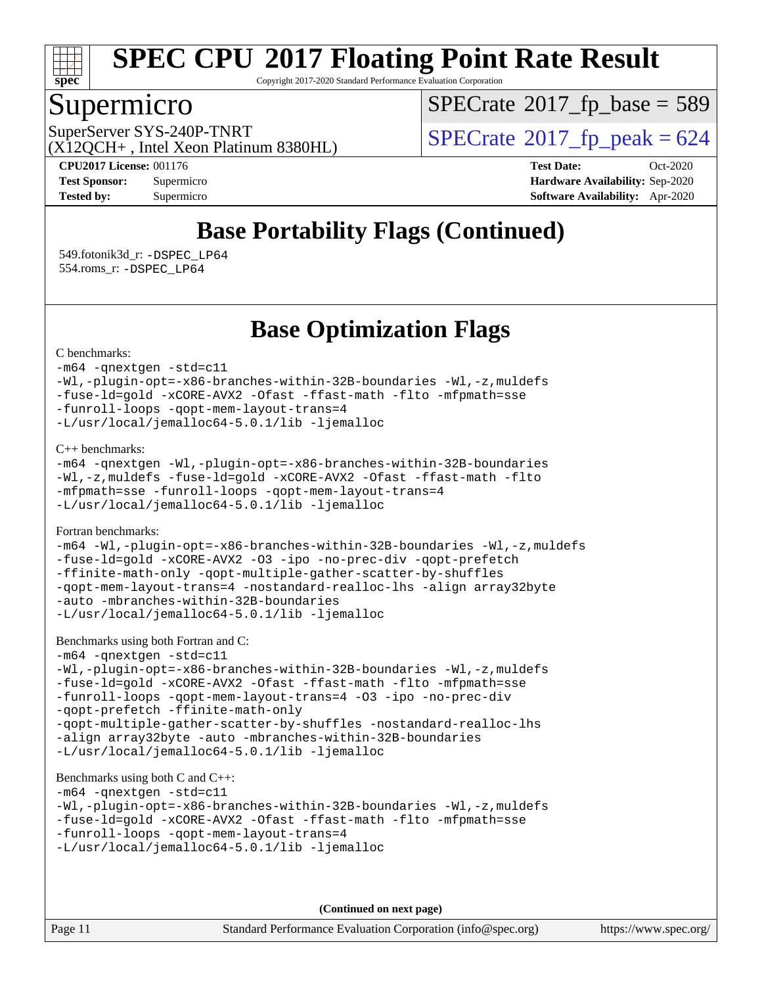

Copyright 2017-2020 Standard Performance Evaluation Corporation

### Supermicro

 $SPECTate$ <sup>®</sup>[2017\\_fp\\_base =](http://www.spec.org/auto/cpu2017/Docs/result-fields.html#SPECrate2017fpbase) 589

(X12QCH+ , Intel Xeon Platinum 8380HL)

SuperServer SYS-240P-TNRT  $\begin{array}{c|c}\n\text{SuperServer SYS-240P-TNRT} & \text{SPECrate} \textcirc 2017\_fp\_peak = 624\n\end{array}$  $\begin{array}{c|c}\n\text{SuperServer SYS-240P-TNRT} & \text{SPECrate} \textcirc 2017\_fp\_peak = 624\n\end{array}$  $\begin{array}{c|c}\n\text{SuperServer SYS-240P-TNRT} & \text{SPECrate} \textcirc 2017\_fp\_peak = 624\n\end{array}$ 

**[CPU2017 License:](http://www.spec.org/auto/cpu2017/Docs/result-fields.html#CPU2017License)** 001176 **[Test Date:](http://www.spec.org/auto/cpu2017/Docs/result-fields.html#TestDate)** Oct-2020 **[Test Sponsor:](http://www.spec.org/auto/cpu2017/Docs/result-fields.html#TestSponsor)** Supermicro **[Hardware Availability:](http://www.spec.org/auto/cpu2017/Docs/result-fields.html#HardwareAvailability)** Sep-2020 **[Tested by:](http://www.spec.org/auto/cpu2017/Docs/result-fields.html#Testedby)** Supermicro **[Software Availability:](http://www.spec.org/auto/cpu2017/Docs/result-fields.html#SoftwareAvailability)** Apr-2020

## **[Base Portability Flags \(Continued\)](http://www.spec.org/auto/cpu2017/Docs/result-fields.html#BasePortabilityFlags)**

 549.fotonik3d\_r: [-DSPEC\\_LP64](http://www.spec.org/cpu2017/results/res2020q4/cpu2017-20201027-24308.flags.html#suite_basePORTABILITY549_fotonik3d_r_DSPEC_LP64) 554.roms\_r: [-DSPEC\\_LP64](http://www.spec.org/cpu2017/results/res2020q4/cpu2017-20201027-24308.flags.html#suite_basePORTABILITY554_roms_r_DSPEC_LP64)

**[Base Optimization Flags](http://www.spec.org/auto/cpu2017/Docs/result-fields.html#BaseOptimizationFlags)**

[C benchmarks](http://www.spec.org/auto/cpu2017/Docs/result-fields.html#Cbenchmarks):

```
-m64 -qnextgen -std=c11
-Wl,-plugin-opt=-x86-branches-within-32B-boundaries -Wl,-z,muldefs
-fuse-ld=gold -xCORE-AVX2 -Ofast -ffast-math -flto -mfpmath=sse
-funroll-loops -qopt-mem-layout-trans=4
-L/usr/local/jemalloc64-5.0.1/lib -ljemalloc
```
[C++ benchmarks:](http://www.spec.org/auto/cpu2017/Docs/result-fields.html#CXXbenchmarks)

```
-m64 -qnextgen -Wl,-plugin-opt=-x86-branches-within-32B-boundaries
-Wl,-z,muldefs -fuse-ld=gold -xCORE-AVX2 -Ofast -ffast-math -flto
-mfpmath=sse -funroll-loops -qopt-mem-layout-trans=4
-L/usr/local/jemalloc64-5.0.1/lib -ljemalloc
```
[Fortran benchmarks](http://www.spec.org/auto/cpu2017/Docs/result-fields.html#Fortranbenchmarks):

```
-m64 -Wl,-plugin-opt=-x86-branches-within-32B-boundaries -Wl,-z,muldefs
-fuse-ld=gold -xCORE-AVX2 -O3 -ipo -no-prec-div -qopt-prefetch
-ffinite-math-only -qopt-multiple-gather-scatter-by-shuffles
-qopt-mem-layout-trans=4 -nostandard-realloc-lhs -align array32byte
-auto -mbranches-within-32B-boundaries
-L/usr/local/jemalloc64-5.0.1/lib -ljemalloc
```
#### [Benchmarks using both Fortran and C](http://www.spec.org/auto/cpu2017/Docs/result-fields.html#BenchmarksusingbothFortranandC):

```
-m64 -qnextgen -std=c11
-Wl,-plugin-opt=-x86-branches-within-32B-boundaries -Wl,-z,muldefs
-fuse-ld=gold -xCORE-AVX2 -Ofast -ffast-math -flto -mfpmath=sse
-funroll-loops -qopt-mem-layout-trans=4 -O3 -ipo -no-prec-div
-qopt-prefetch -ffinite-math-only
-qopt-multiple-gather-scatter-by-shuffles -nostandard-realloc-lhs
-align array32byte -auto -mbranches-within-32B-boundaries
-L/usr/local/jemalloc64-5.0.1/lib -ljemalloc
```

```
Benchmarks using both C and C++: 
-m64 -qnextgen -std=c11
-Wl,-plugin-opt=-x86-branches-within-32B-boundaries -Wl,-z,muldefs
-fuse-ld=gold -xCORE-AVX2 -Ofast -ffast-math -flto -mfpmath=sse
-funroll-loops -qopt-mem-layout-trans=4
-L/usr/local/jemalloc64-5.0.1/lib -ljemalloc
```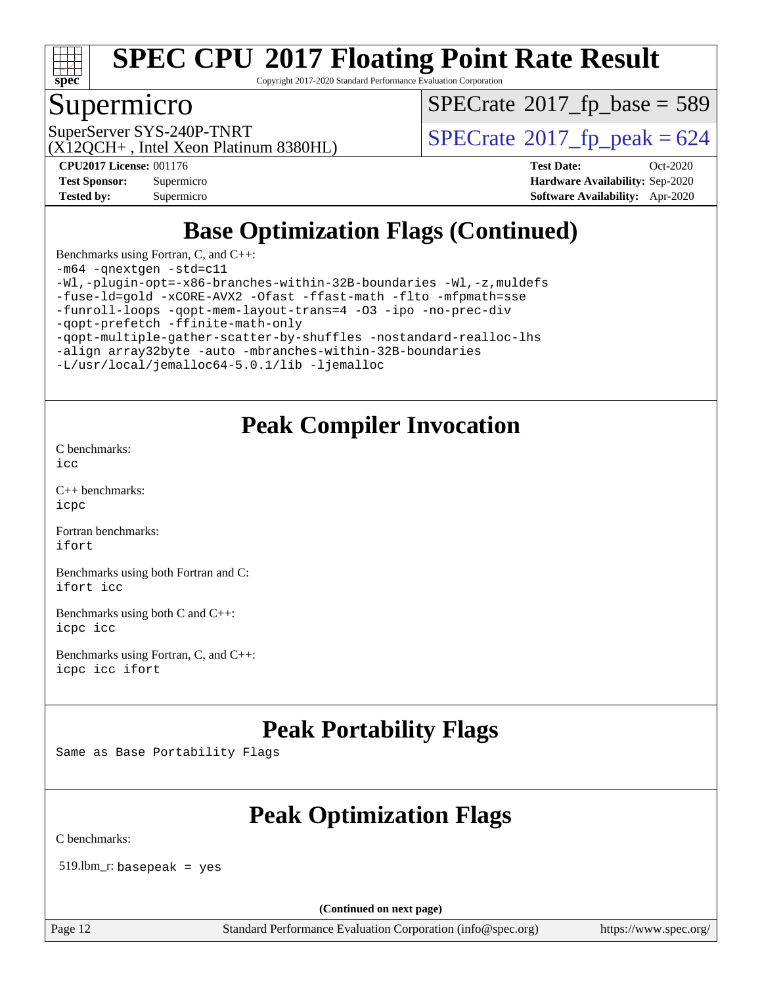

Copyright 2017-2020 Standard Performance Evaluation Corporation

## Supermicro

 $SPECTate$ <sup>®</sup>[2017\\_fp\\_base =](http://www.spec.org/auto/cpu2017/Docs/result-fields.html#SPECrate2017fpbase) 589

(X12QCH+ , Intel Xeon Platinum 8380HL)

SuperServer SYS-240P-TNRT  $\begin{array}{c|c}\n\text{SuperServer SYS-240P-TNRT} & \text{SPECrate} \n\hline\n\end{array}$  $\begin{array}{c|c}\n\text{SuperServer SYS-240P-TNRT} & \text{SPECrate} \n\hline\n\end{array}$  $\begin{array}{c|c}\n\text{SuperServer SYS-240P-TNRT} & \text{SPECrate} \n\hline\n\end{array}$ 

**[Tested by:](http://www.spec.org/auto/cpu2017/Docs/result-fields.html#Testedby)** Supermicro **[Software Availability:](http://www.spec.org/auto/cpu2017/Docs/result-fields.html#SoftwareAvailability)** Apr-2020

**[CPU2017 License:](http://www.spec.org/auto/cpu2017/Docs/result-fields.html#CPU2017License)** 001176 **[Test Date:](http://www.spec.org/auto/cpu2017/Docs/result-fields.html#TestDate)** Oct-2020 **[Test Sponsor:](http://www.spec.org/auto/cpu2017/Docs/result-fields.html#TestSponsor)** Supermicro **[Hardware Availability:](http://www.spec.org/auto/cpu2017/Docs/result-fields.html#HardwareAvailability)** Sep-2020

## **[Base Optimization Flags \(Continued\)](http://www.spec.org/auto/cpu2017/Docs/result-fields.html#BaseOptimizationFlags)**

[Benchmarks using Fortran, C, and C++:](http://www.spec.org/auto/cpu2017/Docs/result-fields.html#BenchmarksusingFortranCandCXX)

[-m64](http://www.spec.org/cpu2017/results/res2020q4/cpu2017-20201027-24308.flags.html#user_CC_CXX_FCbase_m64-icc) [-qnextgen](http://www.spec.org/cpu2017/results/res2020q4/cpu2017-20201027-24308.flags.html#user_CC_CXX_FCbase_f-qnextgen) [-std=c11](http://www.spec.org/cpu2017/results/res2020q4/cpu2017-20201027-24308.flags.html#user_CC_CXX_FCbase_std-icc-std_0e1c27790398a4642dfca32ffe6c27b5796f9c2d2676156f2e42c9c44eaad0c049b1cdb667a270c34d979996257aeb8fc440bfb01818dbc9357bd9d174cb8524)

[-Wl,-plugin-opt=-x86-branches-within-32B-boundaries](http://www.spec.org/cpu2017/results/res2020q4/cpu2017-20201027-24308.flags.html#user_CC_CXX_FCbase_f-x86-branches-within-32B-boundaries_0098b4e4317ae60947b7b728078a624952a08ac37a3c797dfb4ffeb399e0c61a9dd0f2f44ce917e9361fb9076ccb15e7824594512dd315205382d84209e912f3) [-Wl,-z,muldefs](http://www.spec.org/cpu2017/results/res2020q4/cpu2017-20201027-24308.flags.html#user_CC_CXX_FCbase_link_force_multiple1_b4cbdb97b34bdee9ceefcfe54f4c8ea74255f0b02a4b23e853cdb0e18eb4525ac79b5a88067c842dd0ee6996c24547a27a4b99331201badda8798ef8a743f577) [-fuse-ld=gold](http://www.spec.org/cpu2017/results/res2020q4/cpu2017-20201027-24308.flags.html#user_CC_CXX_FCbase_f-fuse-ld_920b3586e2b8c6e0748b9c84fa9b744736ba725a32cab14ad8f3d4ad28eecb2f59d1144823d2e17006539a88734fe1fc08fc3035f7676166309105a78aaabc32) [-xCORE-AVX2](http://www.spec.org/cpu2017/results/res2020q4/cpu2017-20201027-24308.flags.html#user_CC_CXX_FCbase_f-xCORE-AVX2) [-Ofast](http://www.spec.org/cpu2017/results/res2020q4/cpu2017-20201027-24308.flags.html#user_CC_CXX_FCbase_f-Ofast) [-ffast-math](http://www.spec.org/cpu2017/results/res2020q4/cpu2017-20201027-24308.flags.html#user_CC_CXX_FCbase_f-ffast-math) [-flto](http://www.spec.org/cpu2017/results/res2020q4/cpu2017-20201027-24308.flags.html#user_CC_CXX_FCbase_f-flto) [-mfpmath=sse](http://www.spec.org/cpu2017/results/res2020q4/cpu2017-20201027-24308.flags.html#user_CC_CXX_FCbase_f-mfpmath_70eb8fac26bde974f8ab713bc9086c5621c0b8d2f6c86f38af0bd7062540daf19db5f3a066d8c6684be05d84c9b6322eb3b5be6619d967835195b93d6c02afa1) [-funroll-loops](http://www.spec.org/cpu2017/results/res2020q4/cpu2017-20201027-24308.flags.html#user_CC_CXX_FCbase_f-funroll-loops) [-qopt-mem-layout-trans=4](http://www.spec.org/cpu2017/results/res2020q4/cpu2017-20201027-24308.flags.html#user_CC_CXX_FCbase_f-qopt-mem-layout-trans_fa39e755916c150a61361b7846f310bcdf6f04e385ef281cadf3647acec3f0ae266d1a1d22d972a7087a248fd4e6ca390a3634700869573d231a252c784941a8) [-O3](http://www.spec.org/cpu2017/results/res2020q4/cpu2017-20201027-24308.flags.html#user_CC_CXX_FCbase_f-O3) [-ipo](http://www.spec.org/cpu2017/results/res2020q4/cpu2017-20201027-24308.flags.html#user_CC_CXX_FCbase_f-ipo) [-no-prec-div](http://www.spec.org/cpu2017/results/res2020q4/cpu2017-20201027-24308.flags.html#user_CC_CXX_FCbase_f-no-prec-div) [-qopt-prefetch](http://www.spec.org/cpu2017/results/res2020q4/cpu2017-20201027-24308.flags.html#user_CC_CXX_FCbase_f-qopt-prefetch) [-ffinite-math-only](http://www.spec.org/cpu2017/results/res2020q4/cpu2017-20201027-24308.flags.html#user_CC_CXX_FCbase_f_finite_math_only_cb91587bd2077682c4b38af759c288ed7c732db004271a9512da14a4f8007909a5f1427ecbf1a0fb78ff2a814402c6114ac565ca162485bbcae155b5e4258871) [-qopt-multiple-gather-scatter-by-shuffles](http://www.spec.org/cpu2017/results/res2020q4/cpu2017-20201027-24308.flags.html#user_CC_CXX_FCbase_f-qopt-multiple-gather-scatter-by-shuffles) [-nostandard-realloc-lhs](http://www.spec.org/cpu2017/results/res2020q4/cpu2017-20201027-24308.flags.html#user_CC_CXX_FCbase_f_2003_std_realloc_82b4557e90729c0f113870c07e44d33d6f5a304b4f63d4c15d2d0f1fab99f5daaed73bdb9275d9ae411527f28b936061aa8b9c8f2d63842963b95c9dd6426b8a) [-align array32byte](http://www.spec.org/cpu2017/results/res2020q4/cpu2017-20201027-24308.flags.html#user_CC_CXX_FCbase_align_array32byte_b982fe038af199962ba9a80c053b8342c548c85b40b8e86eb3cc33dee0d7986a4af373ac2d51c3f7cf710a18d62fdce2948f201cd044323541f22fc0fffc51b6) [-auto](http://www.spec.org/cpu2017/results/res2020q4/cpu2017-20201027-24308.flags.html#user_CC_CXX_FCbase_f-auto) [-mbranches-within-32B-boundaries](http://www.spec.org/cpu2017/results/res2020q4/cpu2017-20201027-24308.flags.html#user_CC_CXX_FCbase_f-mbranches-within-32B-boundaries)

[-L/usr/local/jemalloc64-5.0.1/lib](http://www.spec.org/cpu2017/results/res2020q4/cpu2017-20201027-24308.flags.html#user_CC_CXX_FCbase_jemalloc_link_path64_1_cc289568b1a6c0fd3b62c91b824c27fcb5af5e8098e6ad028160d21144ef1b8aef3170d2acf0bee98a8da324cfe4f67d0a3d0c4cc4673d993d694dc2a0df248b) [-ljemalloc](http://www.spec.org/cpu2017/results/res2020q4/cpu2017-20201027-24308.flags.html#user_CC_CXX_FCbase_jemalloc_link_lib_d1249b907c500fa1c0672f44f562e3d0f79738ae9e3c4a9c376d49f265a04b9c99b167ecedbf6711b3085be911c67ff61f150a17b3472be731631ba4d0471706)

## **[Peak Compiler Invocation](http://www.spec.org/auto/cpu2017/Docs/result-fields.html#PeakCompilerInvocation)**

[C benchmarks](http://www.spec.org/auto/cpu2017/Docs/result-fields.html#Cbenchmarks): [icc](http://www.spec.org/cpu2017/results/res2020q4/cpu2017-20201027-24308.flags.html#user_CCpeak_intel_icc_66fc1ee009f7361af1fbd72ca7dcefbb700085f36577c54f309893dd4ec40d12360134090235512931783d35fd58c0460139e722d5067c5574d8eaf2b3e37e92)

[C++ benchmarks:](http://www.spec.org/auto/cpu2017/Docs/result-fields.html#CXXbenchmarks) [icpc](http://www.spec.org/cpu2017/results/res2020q4/cpu2017-20201027-24308.flags.html#user_CXXpeak_intel_icpc_c510b6838c7f56d33e37e94d029a35b4a7bccf4766a728ee175e80a419847e808290a9b78be685c44ab727ea267ec2f070ec5dc83b407c0218cded6866a35d07)

[Fortran benchmarks](http://www.spec.org/auto/cpu2017/Docs/result-fields.html#Fortranbenchmarks): [ifort](http://www.spec.org/cpu2017/results/res2020q4/cpu2017-20201027-24308.flags.html#user_FCpeak_intel_ifort_8111460550e3ca792625aed983ce982f94888b8b503583aa7ba2b8303487b4d8a21a13e7191a45c5fd58ff318f48f9492884d4413fa793fd88dd292cad7027ca)

[Benchmarks using both Fortran and C](http://www.spec.org/auto/cpu2017/Docs/result-fields.html#BenchmarksusingbothFortranandC): [ifort](http://www.spec.org/cpu2017/results/res2020q4/cpu2017-20201027-24308.flags.html#user_CC_FCpeak_intel_ifort_8111460550e3ca792625aed983ce982f94888b8b503583aa7ba2b8303487b4d8a21a13e7191a45c5fd58ff318f48f9492884d4413fa793fd88dd292cad7027ca) [icc](http://www.spec.org/cpu2017/results/res2020q4/cpu2017-20201027-24308.flags.html#user_CC_FCpeak_intel_icc_66fc1ee009f7361af1fbd72ca7dcefbb700085f36577c54f309893dd4ec40d12360134090235512931783d35fd58c0460139e722d5067c5574d8eaf2b3e37e92)

[Benchmarks using both C and C++](http://www.spec.org/auto/cpu2017/Docs/result-fields.html#BenchmarksusingbothCandCXX): [icpc](http://www.spec.org/cpu2017/results/res2020q4/cpu2017-20201027-24308.flags.html#user_CC_CXXpeak_intel_icpc_c510b6838c7f56d33e37e94d029a35b4a7bccf4766a728ee175e80a419847e808290a9b78be685c44ab727ea267ec2f070ec5dc83b407c0218cded6866a35d07) [icc](http://www.spec.org/cpu2017/results/res2020q4/cpu2017-20201027-24308.flags.html#user_CC_CXXpeak_intel_icc_66fc1ee009f7361af1fbd72ca7dcefbb700085f36577c54f309893dd4ec40d12360134090235512931783d35fd58c0460139e722d5067c5574d8eaf2b3e37e92)

[Benchmarks using Fortran, C, and C++:](http://www.spec.org/auto/cpu2017/Docs/result-fields.html#BenchmarksusingFortranCandCXX) [icpc](http://www.spec.org/cpu2017/results/res2020q4/cpu2017-20201027-24308.flags.html#user_CC_CXX_FCpeak_intel_icpc_c510b6838c7f56d33e37e94d029a35b4a7bccf4766a728ee175e80a419847e808290a9b78be685c44ab727ea267ec2f070ec5dc83b407c0218cded6866a35d07) [icc](http://www.spec.org/cpu2017/results/res2020q4/cpu2017-20201027-24308.flags.html#user_CC_CXX_FCpeak_intel_icc_66fc1ee009f7361af1fbd72ca7dcefbb700085f36577c54f309893dd4ec40d12360134090235512931783d35fd58c0460139e722d5067c5574d8eaf2b3e37e92) [ifort](http://www.spec.org/cpu2017/results/res2020q4/cpu2017-20201027-24308.flags.html#user_CC_CXX_FCpeak_intel_ifort_8111460550e3ca792625aed983ce982f94888b8b503583aa7ba2b8303487b4d8a21a13e7191a45c5fd58ff318f48f9492884d4413fa793fd88dd292cad7027ca)

## **[Peak Portability Flags](http://www.spec.org/auto/cpu2017/Docs/result-fields.html#PeakPortabilityFlags)**

Same as Base Portability Flags

## **[Peak Optimization Flags](http://www.spec.org/auto/cpu2017/Docs/result-fields.html#PeakOptimizationFlags)**

[C benchmarks](http://www.spec.org/auto/cpu2017/Docs/result-fields.html#Cbenchmarks):

519.lbm\_r: basepeak = yes

**(Continued on next page)**

Page 12 Standard Performance Evaluation Corporation [\(info@spec.org\)](mailto:info@spec.org) <https://www.spec.org/>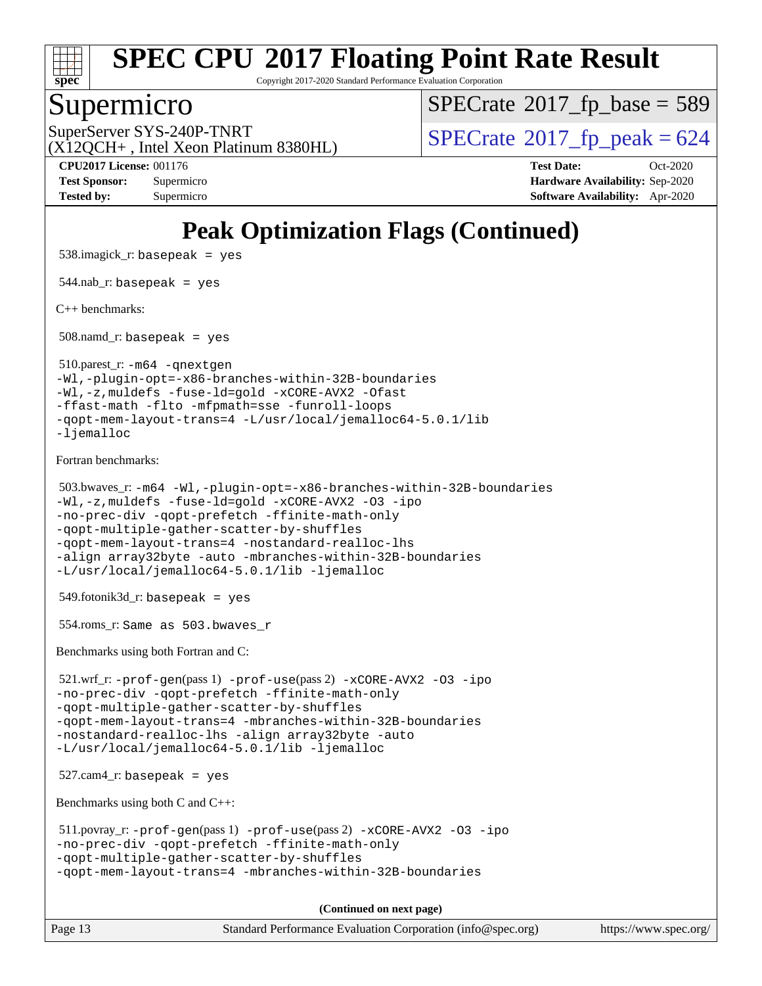

Copyright 2017-2020 Standard Performance Evaluation Corporation

#### Supermicro

 $SPECTate$ <sup>®</sup>[2017\\_fp\\_base =](http://www.spec.org/auto/cpu2017/Docs/result-fields.html#SPECrate2017fpbase) 589

(X12QCH+ , Intel Xeon Platinum 8380HL)

SuperServer SYS-240P-TNRT  $\begin{array}{c|c}\n\text{SuperServer SYS-240P-TNRT} & \text{SPECrate} \textcirc 2017\_fp\_peak = 624\n\end{array}$  $\begin{array}{c|c}\n\text{SuperServer SYS-240P-TNRT} & \text{SPECrate} \textcirc 2017\_fp\_peak = 624\n\end{array}$  $\begin{array}{c|c}\n\text{SuperServer SYS-240P-TNRT} & \text{SPECrate} \textcirc 2017\_fp\_peak = 624\n\end{array}$ 

**[Tested by:](http://www.spec.org/auto/cpu2017/Docs/result-fields.html#Testedby)** Supermicro **[Software Availability:](http://www.spec.org/auto/cpu2017/Docs/result-fields.html#SoftwareAvailability)** Apr-2020

**[CPU2017 License:](http://www.spec.org/auto/cpu2017/Docs/result-fields.html#CPU2017License)** 001176 **[Test Date:](http://www.spec.org/auto/cpu2017/Docs/result-fields.html#TestDate)** Oct-2020 **[Test Sponsor:](http://www.spec.org/auto/cpu2017/Docs/result-fields.html#TestSponsor)** Supermicro **[Hardware Availability:](http://www.spec.org/auto/cpu2017/Docs/result-fields.html#HardwareAvailability)** Sep-2020

**[Peak Optimization Flags \(Continued\)](http://www.spec.org/auto/cpu2017/Docs/result-fields.html#PeakOptimizationFlags)** 538.imagick\_r: basepeak = yes 544.nab  $r:$  basepeak = yes [C++ benchmarks:](http://www.spec.org/auto/cpu2017/Docs/result-fields.html#CXXbenchmarks) 508.namd\_r: basepeak = yes 510.parest\_r: [-m64](http://www.spec.org/cpu2017/results/res2020q4/cpu2017-20201027-24308.flags.html#user_peakCXXLD510_parest_r_m64-icc) [-qnextgen](http://www.spec.org/cpu2017/results/res2020q4/cpu2017-20201027-24308.flags.html#user_peakCXXLD510_parest_r_f-qnextgen) [-Wl,-plugin-opt=-x86-branches-within-32B-boundaries](http://www.spec.org/cpu2017/results/res2020q4/cpu2017-20201027-24308.flags.html#user_peakLDFLAGS510_parest_r_f-x86-branches-within-32B-boundaries_0098b4e4317ae60947b7b728078a624952a08ac37a3c797dfb4ffeb399e0c61a9dd0f2f44ce917e9361fb9076ccb15e7824594512dd315205382d84209e912f3) [-Wl,-z,muldefs](http://www.spec.org/cpu2017/results/res2020q4/cpu2017-20201027-24308.flags.html#user_peakEXTRA_LDFLAGS510_parest_r_link_force_multiple1_b4cbdb97b34bdee9ceefcfe54f4c8ea74255f0b02a4b23e853cdb0e18eb4525ac79b5a88067c842dd0ee6996c24547a27a4b99331201badda8798ef8a743f577) [-fuse-ld=gold](http://www.spec.org/cpu2017/results/res2020q4/cpu2017-20201027-24308.flags.html#user_peakEXTRA_LDFLAGS510_parest_r_f-fuse-ld_920b3586e2b8c6e0748b9c84fa9b744736ba725a32cab14ad8f3d4ad28eecb2f59d1144823d2e17006539a88734fe1fc08fc3035f7676166309105a78aaabc32) [-xCORE-AVX2](http://www.spec.org/cpu2017/results/res2020q4/cpu2017-20201027-24308.flags.html#user_peakCXXOPTIMIZE510_parest_r_f-xCORE-AVX2) [-Ofast](http://www.spec.org/cpu2017/results/res2020q4/cpu2017-20201027-24308.flags.html#user_peakCXXOPTIMIZE510_parest_r_f-Ofast) [-ffast-math](http://www.spec.org/cpu2017/results/res2020q4/cpu2017-20201027-24308.flags.html#user_peakCXXOPTIMIZE510_parest_r_f-ffast-math) [-flto](http://www.spec.org/cpu2017/results/res2020q4/cpu2017-20201027-24308.flags.html#user_peakCXXOPTIMIZE510_parest_r_f-flto) [-mfpmath=sse](http://www.spec.org/cpu2017/results/res2020q4/cpu2017-20201027-24308.flags.html#user_peakCXXOPTIMIZE510_parest_r_f-mfpmath_70eb8fac26bde974f8ab713bc9086c5621c0b8d2f6c86f38af0bd7062540daf19db5f3a066d8c6684be05d84c9b6322eb3b5be6619d967835195b93d6c02afa1) [-funroll-loops](http://www.spec.org/cpu2017/results/res2020q4/cpu2017-20201027-24308.flags.html#user_peakCXXOPTIMIZE510_parest_r_f-funroll-loops) [-qopt-mem-layout-trans=4](http://www.spec.org/cpu2017/results/res2020q4/cpu2017-20201027-24308.flags.html#user_peakCXXOPTIMIZE510_parest_r_f-qopt-mem-layout-trans_fa39e755916c150a61361b7846f310bcdf6f04e385ef281cadf3647acec3f0ae266d1a1d22d972a7087a248fd4e6ca390a3634700869573d231a252c784941a8) [-L/usr/local/jemalloc64-5.0.1/lib](http://www.spec.org/cpu2017/results/res2020q4/cpu2017-20201027-24308.flags.html#user_peakEXTRA_LIBS510_parest_r_jemalloc_link_path64_1_cc289568b1a6c0fd3b62c91b824c27fcb5af5e8098e6ad028160d21144ef1b8aef3170d2acf0bee98a8da324cfe4f67d0a3d0c4cc4673d993d694dc2a0df248b) [-ljemalloc](http://www.spec.org/cpu2017/results/res2020q4/cpu2017-20201027-24308.flags.html#user_peakEXTRA_LIBS510_parest_r_jemalloc_link_lib_d1249b907c500fa1c0672f44f562e3d0f79738ae9e3c4a9c376d49f265a04b9c99b167ecedbf6711b3085be911c67ff61f150a17b3472be731631ba4d0471706) [Fortran benchmarks](http://www.spec.org/auto/cpu2017/Docs/result-fields.html#Fortranbenchmarks): 503.bwaves\_r: [-m64](http://www.spec.org/cpu2017/results/res2020q4/cpu2017-20201027-24308.flags.html#user_peakFCLD503_bwaves_r_m64-icc) [-Wl,-plugin-opt=-x86-branches-within-32B-boundaries](http://www.spec.org/cpu2017/results/res2020q4/cpu2017-20201027-24308.flags.html#user_peakLDFLAGS503_bwaves_r_f-x86-branches-within-32B-boundaries_0098b4e4317ae60947b7b728078a624952a08ac37a3c797dfb4ffeb399e0c61a9dd0f2f44ce917e9361fb9076ccb15e7824594512dd315205382d84209e912f3) [-Wl,-z,muldefs](http://www.spec.org/cpu2017/results/res2020q4/cpu2017-20201027-24308.flags.html#user_peakEXTRA_LDFLAGS503_bwaves_r_link_force_multiple1_b4cbdb97b34bdee9ceefcfe54f4c8ea74255f0b02a4b23e853cdb0e18eb4525ac79b5a88067c842dd0ee6996c24547a27a4b99331201badda8798ef8a743f577) [-fuse-ld=gold](http://www.spec.org/cpu2017/results/res2020q4/cpu2017-20201027-24308.flags.html#user_peakEXTRA_LDFLAGS503_bwaves_r_f-fuse-ld_920b3586e2b8c6e0748b9c84fa9b744736ba725a32cab14ad8f3d4ad28eecb2f59d1144823d2e17006539a88734fe1fc08fc3035f7676166309105a78aaabc32) [-xCORE-AVX2](http://www.spec.org/cpu2017/results/res2020q4/cpu2017-20201027-24308.flags.html#user_peakFOPTIMIZE503_bwaves_r_f-xCORE-AVX2) [-O3](http://www.spec.org/cpu2017/results/res2020q4/cpu2017-20201027-24308.flags.html#user_peakFOPTIMIZE503_bwaves_r_f-O3) [-ipo](http://www.spec.org/cpu2017/results/res2020q4/cpu2017-20201027-24308.flags.html#user_peakFOPTIMIZE503_bwaves_r_f-ipo) [-no-prec-div](http://www.spec.org/cpu2017/results/res2020q4/cpu2017-20201027-24308.flags.html#user_peakFOPTIMIZE503_bwaves_r_f-no-prec-div) [-qopt-prefetch](http://www.spec.org/cpu2017/results/res2020q4/cpu2017-20201027-24308.flags.html#user_peakFOPTIMIZE503_bwaves_r_f-qopt-prefetch) [-ffinite-math-only](http://www.spec.org/cpu2017/results/res2020q4/cpu2017-20201027-24308.flags.html#user_peakFOPTIMIZE503_bwaves_r_f_finite_math_only_cb91587bd2077682c4b38af759c288ed7c732db004271a9512da14a4f8007909a5f1427ecbf1a0fb78ff2a814402c6114ac565ca162485bbcae155b5e4258871) [-qopt-multiple-gather-scatter-by-shuffles](http://www.spec.org/cpu2017/results/res2020q4/cpu2017-20201027-24308.flags.html#user_peakFOPTIMIZE503_bwaves_r_f-qopt-multiple-gather-scatter-by-shuffles) [-qopt-mem-layout-trans=4](http://www.spec.org/cpu2017/results/res2020q4/cpu2017-20201027-24308.flags.html#user_peakFOPTIMIZE503_bwaves_r_f-qopt-mem-layout-trans_fa39e755916c150a61361b7846f310bcdf6f04e385ef281cadf3647acec3f0ae266d1a1d22d972a7087a248fd4e6ca390a3634700869573d231a252c784941a8) [-nostandard-realloc-lhs](http://www.spec.org/cpu2017/results/res2020q4/cpu2017-20201027-24308.flags.html#user_peakEXTRA_FOPTIMIZE503_bwaves_r_f_2003_std_realloc_82b4557e90729c0f113870c07e44d33d6f5a304b4f63d4c15d2d0f1fab99f5daaed73bdb9275d9ae411527f28b936061aa8b9c8f2d63842963b95c9dd6426b8a) [-align array32byte](http://www.spec.org/cpu2017/results/res2020q4/cpu2017-20201027-24308.flags.html#user_peakEXTRA_FOPTIMIZE503_bwaves_r_align_array32byte_b982fe038af199962ba9a80c053b8342c548c85b40b8e86eb3cc33dee0d7986a4af373ac2d51c3f7cf710a18d62fdce2948f201cd044323541f22fc0fffc51b6) [-auto](http://www.spec.org/cpu2017/results/res2020q4/cpu2017-20201027-24308.flags.html#user_peakEXTRA_FOPTIMIZE503_bwaves_r_f-auto) [-mbranches-within-32B-boundaries](http://www.spec.org/cpu2017/results/res2020q4/cpu2017-20201027-24308.flags.html#user_peakEXTRA_FOPTIMIZE503_bwaves_r_f-mbranches-within-32B-boundaries) [-L/usr/local/jemalloc64-5.0.1/lib](http://www.spec.org/cpu2017/results/res2020q4/cpu2017-20201027-24308.flags.html#user_peakEXTRA_LIBS503_bwaves_r_jemalloc_link_path64_1_cc289568b1a6c0fd3b62c91b824c27fcb5af5e8098e6ad028160d21144ef1b8aef3170d2acf0bee98a8da324cfe4f67d0a3d0c4cc4673d993d694dc2a0df248b) [-ljemalloc](http://www.spec.org/cpu2017/results/res2020q4/cpu2017-20201027-24308.flags.html#user_peakEXTRA_LIBS503_bwaves_r_jemalloc_link_lib_d1249b907c500fa1c0672f44f562e3d0f79738ae9e3c4a9c376d49f265a04b9c99b167ecedbf6711b3085be911c67ff61f150a17b3472be731631ba4d0471706) 549.fotonik3d\_r: basepeak = yes 554.roms\_r: Same as 503.bwaves\_r [Benchmarks using both Fortran and C](http://www.spec.org/auto/cpu2017/Docs/result-fields.html#BenchmarksusingbothFortranandC): 521.wrf\_r: [-prof-gen](http://www.spec.org/cpu2017/results/res2020q4/cpu2017-20201027-24308.flags.html#user_peakPASS1_CFLAGSPASS1_FFLAGSPASS1_LDFLAGS521_wrf_r_prof_gen_5aa4926d6013ddb2a31985c654b3eb18169fc0c6952a63635c234f711e6e63dd76e94ad52365559451ec499a2cdb89e4dc58ba4c67ef54ca681ffbe1461d6b36)(pass 1) [-prof-use](http://www.spec.org/cpu2017/results/res2020q4/cpu2017-20201027-24308.flags.html#user_peakPASS2_CFLAGSPASS2_FFLAGSPASS2_LDFLAGS521_wrf_r_prof_use_1a21ceae95f36a2b53c25747139a6c16ca95bd9def2a207b4f0849963b97e94f5260e30a0c64f4bb623698870e679ca08317ef8150905d41bd88c6f78df73f19)(pass 2) [-xCORE-AVX2](http://www.spec.org/cpu2017/results/res2020q4/cpu2017-20201027-24308.flags.html#user_peakCOPTIMIZEPASS2_COPTIMIZEPASS2_FOPTIMIZE521_wrf_r_f-xCORE-AVX2) [-O3](http://www.spec.org/cpu2017/results/res2020q4/cpu2017-20201027-24308.flags.html#user_peakCOPTIMIZEPASS1_COPTIMIZEPASS1_FOPTIMIZEPASS2_COPTIMIZEPASS2_FOPTIMIZE521_wrf_r_f-O3) [-ipo](http://www.spec.org/cpu2017/results/res2020q4/cpu2017-20201027-24308.flags.html#user_peakCOPTIMIZEPASS1_COPTIMIZEPASS1_FOPTIMIZEPASS2_COPTIMIZEPASS2_FOPTIMIZE521_wrf_r_f-ipo) [-no-prec-div](http://www.spec.org/cpu2017/results/res2020q4/cpu2017-20201027-24308.flags.html#user_peakCOPTIMIZEPASS1_COPTIMIZEPASS1_FOPTIMIZEPASS2_COPTIMIZEPASS2_FOPTIMIZE521_wrf_r_f-no-prec-div) [-qopt-prefetch](http://www.spec.org/cpu2017/results/res2020q4/cpu2017-20201027-24308.flags.html#user_peakCOPTIMIZEPASS1_COPTIMIZEPASS1_FOPTIMIZEPASS2_COPTIMIZEPASS2_FOPTIMIZE521_wrf_r_f-qopt-prefetch) [-ffinite-math-only](http://www.spec.org/cpu2017/results/res2020q4/cpu2017-20201027-24308.flags.html#user_peakCOPTIMIZEPASS1_COPTIMIZEPASS1_FOPTIMIZEPASS2_COPTIMIZEPASS2_FOPTIMIZE521_wrf_r_f_finite_math_only_cb91587bd2077682c4b38af759c288ed7c732db004271a9512da14a4f8007909a5f1427ecbf1a0fb78ff2a814402c6114ac565ca162485bbcae155b5e4258871) [-qopt-multiple-gather-scatter-by-shuffles](http://www.spec.org/cpu2017/results/res2020q4/cpu2017-20201027-24308.flags.html#user_peakCOPTIMIZEPASS1_COPTIMIZEPASS1_FOPTIMIZEPASS2_COPTIMIZEPASS2_FOPTIMIZE521_wrf_r_f-qopt-multiple-gather-scatter-by-shuffles) [-qopt-mem-layout-trans=4](http://www.spec.org/cpu2017/results/res2020q4/cpu2017-20201027-24308.flags.html#user_peakCOPTIMIZEFOPTIMIZEPASS1_COPTIMIZEPASS1_FOPTIMIZEPASS2_COPTIMIZEPASS2_FOPTIMIZE521_wrf_r_f-qopt-mem-layout-trans_fa39e755916c150a61361b7846f310bcdf6f04e385ef281cadf3647acec3f0ae266d1a1d22d972a7087a248fd4e6ca390a3634700869573d231a252c784941a8) [-mbranches-within-32B-boundaries](http://www.spec.org/cpu2017/results/res2020q4/cpu2017-20201027-24308.flags.html#user_peakEXTRA_COPTIMIZEEXTRA_FOPTIMIZE521_wrf_r_f-mbranches-within-32B-boundaries) [-nostandard-realloc-lhs](http://www.spec.org/cpu2017/results/res2020q4/cpu2017-20201027-24308.flags.html#user_peakEXTRA_FOPTIMIZE521_wrf_r_f_2003_std_realloc_82b4557e90729c0f113870c07e44d33d6f5a304b4f63d4c15d2d0f1fab99f5daaed73bdb9275d9ae411527f28b936061aa8b9c8f2d63842963b95c9dd6426b8a) [-align array32byte](http://www.spec.org/cpu2017/results/res2020q4/cpu2017-20201027-24308.flags.html#user_peakEXTRA_FOPTIMIZE521_wrf_r_align_array32byte_b982fe038af199962ba9a80c053b8342c548c85b40b8e86eb3cc33dee0d7986a4af373ac2d51c3f7cf710a18d62fdce2948f201cd044323541f22fc0fffc51b6) [-auto](http://www.spec.org/cpu2017/results/res2020q4/cpu2017-20201027-24308.flags.html#user_peakEXTRA_FOPTIMIZE521_wrf_r_f-auto) [-L/usr/local/jemalloc64-5.0.1/lib](http://www.spec.org/cpu2017/results/res2020q4/cpu2017-20201027-24308.flags.html#user_peakEXTRA_LIBS521_wrf_r_jemalloc_link_path64_1_cc289568b1a6c0fd3b62c91b824c27fcb5af5e8098e6ad028160d21144ef1b8aef3170d2acf0bee98a8da324cfe4f67d0a3d0c4cc4673d993d694dc2a0df248b) [-ljemalloc](http://www.spec.org/cpu2017/results/res2020q4/cpu2017-20201027-24308.flags.html#user_peakEXTRA_LIBS521_wrf_r_jemalloc_link_lib_d1249b907c500fa1c0672f44f562e3d0f79738ae9e3c4a9c376d49f265a04b9c99b167ecedbf6711b3085be911c67ff61f150a17b3472be731631ba4d0471706)  $527$ .cam $4$ \_r: basepeak = yes [Benchmarks using both C and C++](http://www.spec.org/auto/cpu2017/Docs/result-fields.html#BenchmarksusingbothCandCXX): 511.povray\_r: [-prof-gen](http://www.spec.org/cpu2017/results/res2020q4/cpu2017-20201027-24308.flags.html#user_peakPASS1_CFLAGSPASS1_CXXFLAGSPASS1_LDFLAGS511_povray_r_prof_gen_5aa4926d6013ddb2a31985c654b3eb18169fc0c6952a63635c234f711e6e63dd76e94ad52365559451ec499a2cdb89e4dc58ba4c67ef54ca681ffbe1461d6b36)(pass 1) [-prof-use](http://www.spec.org/cpu2017/results/res2020q4/cpu2017-20201027-24308.flags.html#user_peakPASS2_CFLAGSPASS2_CXXFLAGSPASS2_LDFLAGS511_povray_r_prof_use_1a21ceae95f36a2b53c25747139a6c16ca95bd9def2a207b4f0849963b97e94f5260e30a0c64f4bb623698870e679ca08317ef8150905d41bd88c6f78df73f19)(pass 2) [-xCORE-AVX2](http://www.spec.org/cpu2017/results/res2020q4/cpu2017-20201027-24308.flags.html#user_peakCOPTIMIZECXXOPTIMIZEPASS2_COPTIMIZEPASS2_CXXOPTIMIZE511_povray_r_f-xCORE-AVX2) [-O3](http://www.spec.org/cpu2017/results/res2020q4/cpu2017-20201027-24308.flags.html#user_peakCOPTIMIZECXXOPTIMIZEPASS1_COPTIMIZEPASS1_CXXOPTIMIZEPASS2_COPTIMIZEPASS2_CXXOPTIMIZE511_povray_r_f-O3) [-ipo](http://www.spec.org/cpu2017/results/res2020q4/cpu2017-20201027-24308.flags.html#user_peakCOPTIMIZECXXOPTIMIZEPASS1_COPTIMIZEPASS1_CXXOPTIMIZEPASS2_COPTIMIZEPASS2_CXXOPTIMIZE511_povray_r_f-ipo) [-no-prec-div](http://www.spec.org/cpu2017/results/res2020q4/cpu2017-20201027-24308.flags.html#user_peakCOPTIMIZECXXOPTIMIZEPASS1_COPTIMIZEPASS1_CXXOPTIMIZEPASS2_COPTIMIZEPASS2_CXXOPTIMIZE511_povray_r_f-no-prec-div) [-qopt-prefetch](http://www.spec.org/cpu2017/results/res2020q4/cpu2017-20201027-24308.flags.html#user_peakCOPTIMIZECXXOPTIMIZEPASS1_COPTIMIZEPASS1_CXXOPTIMIZEPASS2_COPTIMIZEPASS2_CXXOPTIMIZE511_povray_r_f-qopt-prefetch) [-ffinite-math-only](http://www.spec.org/cpu2017/results/res2020q4/cpu2017-20201027-24308.flags.html#user_peakCOPTIMIZECXXOPTIMIZEPASS1_COPTIMIZEPASS1_CXXOPTIMIZEPASS2_COPTIMIZEPASS2_CXXOPTIMIZE511_povray_r_f_finite_math_only_cb91587bd2077682c4b38af759c288ed7c732db004271a9512da14a4f8007909a5f1427ecbf1a0fb78ff2a814402c6114ac565ca162485bbcae155b5e4258871) [-qopt-multiple-gather-scatter-by-shuffles](http://www.spec.org/cpu2017/results/res2020q4/cpu2017-20201027-24308.flags.html#user_peakCOPTIMIZECXXOPTIMIZEPASS1_COPTIMIZEPASS1_CXXOPTIMIZEPASS2_COPTIMIZEPASS2_CXXOPTIMIZE511_povray_r_f-qopt-multiple-gather-scatter-by-shuffles) [-qopt-mem-layout-trans=4](http://www.spec.org/cpu2017/results/res2020q4/cpu2017-20201027-24308.flags.html#user_peakCOPTIMIZECXXOPTIMIZEPASS1_COPTIMIZEPASS1_CXXOPTIMIZEPASS2_COPTIMIZEPASS2_CXXOPTIMIZE511_povray_r_f-qopt-mem-layout-trans_fa39e755916c150a61361b7846f310bcdf6f04e385ef281cadf3647acec3f0ae266d1a1d22d972a7087a248fd4e6ca390a3634700869573d231a252c784941a8) [-mbranches-within-32B-boundaries](http://www.spec.org/cpu2017/results/res2020q4/cpu2017-20201027-24308.flags.html#user_peakEXTRA_COPTIMIZEEXTRA_CXXOPTIMIZE511_povray_r_f-mbranches-within-32B-boundaries)